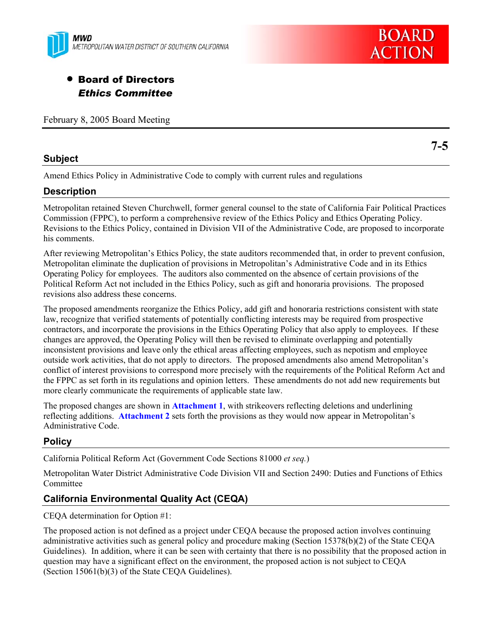



# • Board of Directors *Ethics Committee*

February 8, 2005 Board Meeting

# **Subject**

**7-5** 

Amend Ethics Policy in Administrative Code to comply with current rules and regulations

# **Description**

Metropolitan retained Steven Churchwell, former general counsel to the state of California Fair Political Practices Commission (FPPC), to perform a comprehensive review of the Ethics Policy and Ethics Operating Policy. Revisions to the Ethics Policy, contained in Division VII of the Administrative Code, are proposed to incorporate his comments.

After reviewing Metropolitan's Ethics Policy, the state auditors recommended that, in order to prevent confusion, Metropolitan eliminate the duplication of provisions in Metropolitan's Administrative Code and in its Ethics Operating Policy for employees. The auditors also commented on the absence of certain provisions of the Political Reform Act not included in the Ethics Policy, such as gift and honoraria provisions. The proposed revisions also address these concerns.

The proposed amendments reorganize the Ethics Policy, add gift and honoraria restrictions consistent with state law, recognize that verified statements of potentially conflicting interests may be required from prospective contractors, and incorporate the provisions in the Ethics Operating Policy that also apply to employees. If these changes are approved, the Operating Policy will then be revised to eliminate overlapping and potentially inconsistent provisions and leave only the ethical areas affecting employees, such as nepotism and employee outside work activities, that do not apply to directors. The proposed amendments also amend Metropolitan's conflict of interest provisions to correspond more precisely with the requirements of the Political Reform Act and the FPPC as set forth in its regulations and opinion letters. These amendments do not add new requirements but more clearly communicate the requirements of applicable state law.

The proposed changes are shown in **Attachment 1**, with strikeovers reflecting deletions and underlining reflecting additions. **Attachment 2** sets forth the provisions as they would now appear in Metropolitan's Administrative Code.

# **Policy**

California Political Reform Act (Government Code Sections 81000 *et seq.*)

Metropolitan Water District Administrative Code Division VII and Section 2490: Duties and Functions of Ethics Committee

# **California Environmental Quality Act (CEQA)**

CEQA determination for Option #1:

The proposed action is not defined as a project under CEQA because the proposed action involves continuing administrative activities such as general policy and procedure making (Section 15378(b)(2) of the State CEQA Guidelines). In addition, where it can be seen with certainty that there is no possibility that the proposed action in question may have a significant effect on the environment, the proposed action is not subject to CEQA (Section 15061(b)(3) of the State CEQA Guidelines).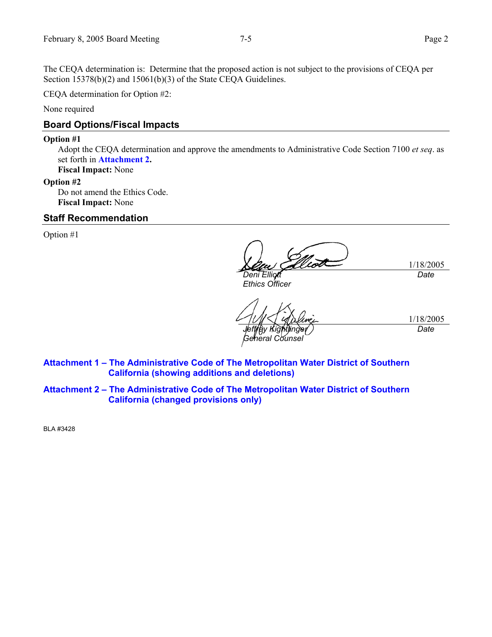The CEQA determination is: Determine that the proposed action is not subject to the provisions of CEQA per Section 15378(b)(2) and 15061(b)(3) of the State CEQA Guidelines.

CEQA determination for Option #2:

None required

# **Board Options/Fiscal Impacts**

#### **Option #1**

Adopt the CEQA determination and approve the amendments to Administrative Code Section 7100 *et seq*. as set forth in **Attachment 2.**

**Fiscal Impact:** None

# **Option #2**

Do not amend the Ethics Code. **Fiscal Impact:** None

# **Staff Recommendation**

Option #1

*Deni Elliott* 

*Ethics Officer* 

*Jeffrey Kightlinger General Counsel* 

1/18/2005

*Date* 

1/18/2005 *Date* 

**Attachment 1 – The Administrative Code of The Metropolitan Water District of Southern California (showing additions and deletions)** 

**Attachment 2 – The Administrative Code of The Metropolitan Water District of Southern California (changed provisions only)** 

BLA #3428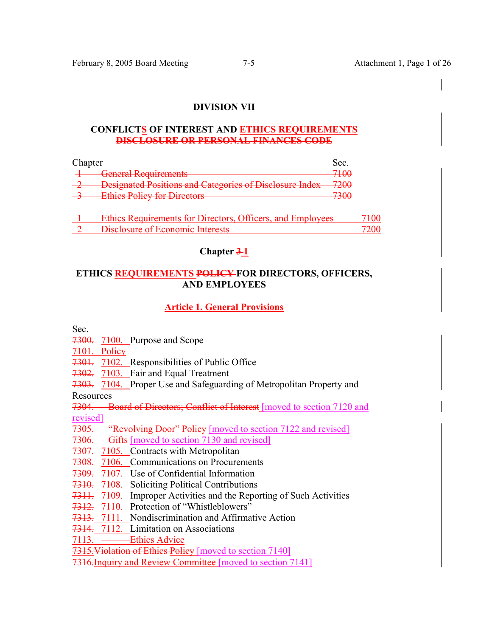# **DIVISION VII**

### **CONFLICTS OF INTEREST AND ETHICS REQUIREMENTS DISCLOSURE OR PERSONAL FINANCES CODE**

| Chapter |                                                                      |                                         |
|---------|----------------------------------------------------------------------|-----------------------------------------|
|         | General Requirements<br><del>ovnorar requirements</del>              | 71 $\alpha$<br>$\overline{\phantom{a}}$ |
|         | Designated Positions and Categories of Disclosure Index              | 7200<br>≁∠∪∪                            |
|         | Ethics Policy for Directors<br><del>Ethics Policy for Dheetols</del> | 72 A C<br>50c                           |
|         |                                                                      |                                         |

| Ethics Requirements for Directors, Officers, and Employees | 7100  |
|------------------------------------------------------------|-------|
| Disclosure of Economic Interests                           | 7200- |

**Chapter 3-1** 

# **ETHICS REQUIREMENTS POLICY FOR DIRECTORS, OFFICERS, AND EMPLOYEES**

# **Article 1. General Provisions**

Sec.

7300. 7100. Purpose and Scope

7101. Policy

7301. 7102. Responsibilities of Public Office

7302. 7103. Fair and Equal Treatment

7303. 7104. Proper Use and Safeguarding of Metropolitan Property and

Resources

7304. Board of Directors; Conflict of Interest [moved to section 7120 and revised]

7305. "Revolving Door" Policy [moved to section 7122 and revised]

7305. Reversing Deed Terms of The 1985.

7307. 7105. Contracts with Metropolitan

7308. 7106. Communications on Procurements

7309. 7107. Use of Confidential Information

7310. 7108. Soliciting Political Contributions

7311. 7109. Improper Activities and the Reporting of Such Activities

7312. 7110. Protection of "Whistleblowers"

7313. 7111. Nondiscrimination and Affirmative Action

7314. 7112. Limitation on Associations

7113. Ethics Advice

7315. Violation of Ethics Policy [moved to section 7140]

7316. Inquiry and Review Committee [moved to section 7141]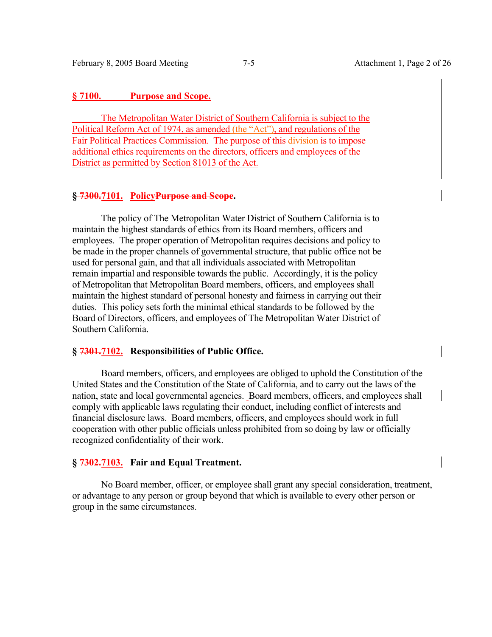## **§ 7100. Purpose and Scope.**

 The Metropolitan Water District of Southern California is subject to the Political Reform Act of 1974, as amended (the "Act"), and regulations of the Fair Political Practices Commission. The purpose of this division is to impose additional ethics requirements on the directors, officers and employees of the District as permitted by Section 81013 of the Act.

## **§ 7300.7101. PolicyPurpose and Scope.**

 The policy of The Metropolitan Water District of Southern California is to maintain the highest standards of ethics from its Board members, officers and employees. The proper operation of Metropolitan requires decisions and policy to be made in the proper channels of governmental structure, that public office not be used for personal gain, and that all individuals associated with Metropolitan remain impartial and responsible towards the public. Accordingly, it is the policy of Metropolitan that Metropolitan Board members, officers, and employees shall maintain the highest standard of personal honesty and fairness in carrying out their duties. This policy sets forth the minimal ethical standards to be followed by the Board of Directors, officers, and employees of The Metropolitan Water District of Southern California.

## **§ 7301.7102. Responsibilities of Public Office.**

 Board members, officers, and employees are obliged to uphold the Constitution of the United States and the Constitution of the State of California, and to carry out the laws of the nation, state and local governmental agencies. Board members, officers, and employees shall comply with applicable laws regulating their conduct, including conflict of interests and financial disclosure laws. Board members, officers, and employees should work in full cooperation with other public officials unless prohibited from so doing by law or officially recognized confidentiality of their work.

### **§ 7302.7103. Fair and Equal Treatment.**

 No Board member, officer, or employee shall grant any special consideration, treatment, or advantage to any person or group beyond that which is available to every other person or group in the same circumstances.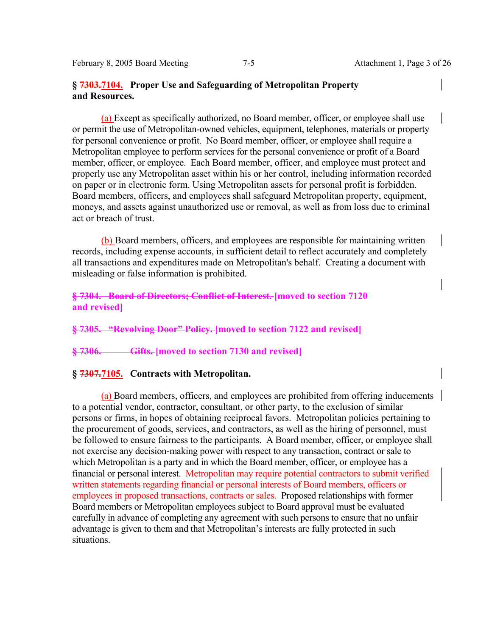February 8, 2005 Board Meeting 7-5 Attachment 1, Page 3 of 26

# **§ 7303.7104. Proper Use and Safeguarding of Metropolitan Property and Resources.**

(a) Except as specifically authorized, no Board member, officer, or employee shall use or permit the use of Metropolitan-owned vehicles, equipment, telephones, materials or property for personal convenience or profit. No Board member, officer, or employee shall require a Metropolitan employee to perform services for the personal convenience or profit of a Board member, officer, or employee. Each Board member, officer, and employee must protect and properly use any Metropolitan asset within his or her control, including information recorded on paper or in electronic form. Using Metropolitan assets for personal profit is forbidden. Board members, officers, and employees shall safeguard Metropolitan property, equipment, moneys, and assets against unauthorized use or removal, as well as from loss due to criminal act or breach of trust.

(b) Board members, officers, and employees are responsible for maintaining written records, including expense accounts, in sufficient detail to reflect accurately and completely all transactions and expenditures made on Metropolitan's behalf. Creating a document with misleading or false information is prohibited.

# **§ 7304. Board of Directors; Conflict of Interest. [moved to section 7120 and revised]**

**§ 7305. "Revolving Door" Policy. [moved to section 7122 and revised]** 

# **§ 7306. Gifts. [moved to section 7130 and revised]**

## **§ 7307.7105. Contracts with Metropolitan.**

(a) Board members, officers, and employees are prohibited from offering inducements to a potential vendor, contractor, consultant, or other party, to the exclusion of similar persons or firms, in hopes of obtaining reciprocal favors. Metropolitan policies pertaining to the procurement of goods, services, and contractors, as well as the hiring of personnel, must be followed to ensure fairness to the participants. A Board member, officer, or employee shall not exercise any decision-making power with respect to any transaction, contract or sale to which Metropolitan is a party and in which the Board member, officer, or employee has a financial or personal interest. Metropolitan may require potential contractors to submit verified written statements regarding financial or personal interests of Board members, officers or employees in proposed transactions, contracts or sales. Proposed relationships with former Board members or Metropolitan employees subject to Board approval must be evaluated carefully in advance of completing any agreement with such persons to ensure that no unfair advantage is given to them and that Metropolitan's interests are fully protected in such situations.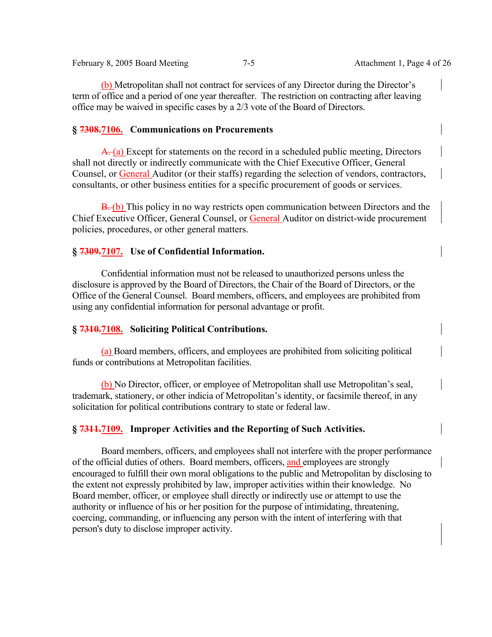February 8, 2005 Board Meeting 7-5 Attachment 1, Page 4 of 26

(b) Metropolitan shall not contract for services of any Director during the Director's term of office and a period of one year thereafter. The restriction on contracting after leaving office may be waived in specific cases by a 2/3 vote of the Board of Directors.

### **§ 7308.7106. Communications on Procurements**

A. (a) Except for statements on the record in a scheduled public meeting, Directors shall not directly or indirectly communicate with the Chief Executive Officer, General Counsel, or General Auditor (or their staffs) regarding the selection of vendors, contractors, consultants, or other business entities for a specific procurement of goods or services.

B. (b) This policy in no way restricts open communication between Directors and the Chief Executive Officer, General Counsel, or General Auditor on district-wide procurement policies, procedures, or other general matters.

# **§ 7309.7107. Use of Confidential Information.**

 Confidential information must not be released to unauthorized persons unless the disclosure is approved by the Board of Directors, the Chair of the Board of Directors, or the Office of the General Counsel. Board members, officers, and employees are prohibited from using any confidential information for personal advantage or profit.

### **§ 7310.7108. Soliciting Political Contributions.**

(a) Board members, officers, and employees are prohibited from soliciting political funds or contributions at Metropolitan facilities.

(b) No Director, officer, or employee of Metropolitan shall use Metropolitan's seal, trademark, stationery, or other indicia of Metropolitan's identity, or facsimile thereof, in any solicitation for political contributions contrary to state or federal law.

# **§ 7311.7109. Improper Activities and the Reporting of Such Activities.**

 Board members, officers, and employees shall not interfere with the proper performance of the official duties of others. Board members, officers, and employees are strongly encouraged to fulfill their own moral obligations to the public and Metropolitan by disclosing to the extent not expressly prohibited by law, improper activities within their knowledge. No Board member, officer, or employee shall directly or indirectly use or attempt to use the authority or influence of his or her position for the purpose of intimidating, threatening, coercing, commanding, or influencing any person with the intent of interfering with that person's duty to disclose improper activity.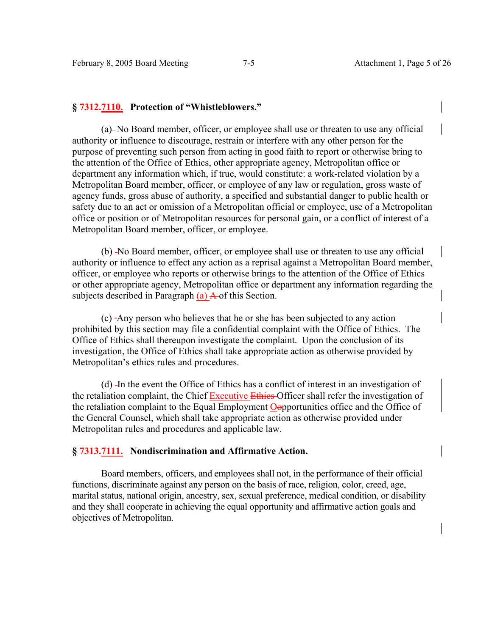# **§ 7312.7110. Protection of "Whistleblowers."**

 (a) No Board member, officer, or employee shall use or threaten to use any official authority or influence to discourage, restrain or interfere with any other person for the purpose of preventing such person from acting in good faith to report or otherwise bring to the attention of the Office of Ethics, other appropriate agency, Metropolitan office or department any information which, if true, would constitute: a work-related violation by a Metropolitan Board member, officer, or employee of any law or regulation, gross waste of agency funds, gross abuse of authority, a specified and substantial danger to public health or safety due to an act or omission of a Metropolitan official or employee, use of a Metropolitan office or position or of Metropolitan resources for personal gain, or a conflict of interest of a Metropolitan Board member, officer, or employee.

(b) -No Board member, officer, or employee shall use or threaten to use any official authority or influence to effect any action as a reprisal against a Metropolitan Board member, officer, or employee who reports or otherwise brings to the attention of the Office of Ethics or other appropriate agency, Metropolitan office or department any information regarding the subjects described in Paragraph (a) A of this Section.

 (c) Any person who believes that he or she has been subjected to any action prohibited by this section may file a confidential complaint with the Office of Ethics. The Office of Ethics shall thereupon investigate the complaint. Upon the conclusion of its investigation, the Office of Ethics shall take appropriate action as otherwise provided by Metropolitan's ethics rules and procedures.

 (d) In the event the Office of Ethics has a conflict of interest in an investigation of the retaliation complaint, the Chief Executive Ethies Officer shall refer the investigation of the retaliation complaint to the Equal Employment Oopportunities office and the Office of the General Counsel, which shall take appropriate action as otherwise provided under Metropolitan rules and procedures and applicable law.

# **§ 7313.7111. Nondiscrimination and Affirmative Action.**

 Board members, officers, and employees shall not, in the performance of their official functions, discriminate against any person on the basis of race, religion, color, creed, age, marital status, national origin, ancestry, sex, sexual preference, medical condition, or disability and they shall cooperate in achieving the equal opportunity and affirmative action goals and objectives of Metropolitan.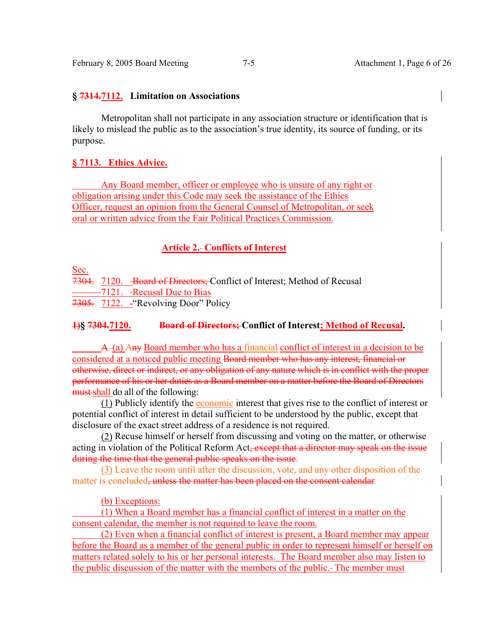### **§ 7314.7112. Limitation on Associations**

 Metropolitan shall not participate in any association structure or identification that is likely to mislead the public as to the association's true identity, its source of funding, or its purpose.

# **§ 7113. Ethics Advice.**

 Any Board member, officer or employee who is unsure of any right or obligation arising under this Code may seek the assistance of the Ethics Officer, request an opinion from the General Counsel of Metropolitan, or seek oral or written advice from the Fair Political Practices Commission.

# **Article 2. Conflicts of Interest**

Sec.

7304. 7120. Board of Directors; Conflict of Interest; Method of Recusal -7121. - Recusal Due to Bias

7305. 7122. "Revolving Door" Policy

# **1)§ 7304.7120. Board of Directors; Conflict of Interest; Method of Recusal.**

A. (a) Any Board member who has a financial conflict of interest in a decision to be considered at a noticed public meeting Board member who has any interest, financial or otherwise, direct or indirect, or any obligation of any nature which is in conflict with the proper performance of his or her duties as a Board member on a matter before the Board of Directors must shall do all of the following:

 (1) Publicly identify the economic interest that gives rise to the conflict of interest or potential conflict of interest in detail sufficient to be understood by the public, except that disclosure of the exact street address of a residence is not required.

 (2) Recuse himself or herself from discussing and voting on the matter, or otherwise acting in violation of the Political Reform Act<del>, except that a director may speak on the issue</del> during the time that the general public speaks on the issue.

 (3) Leave the room until after the discussion, vote, and any other disposition of the matter is concluded, unless the matter has been placed on the consent calendar.

(b) Exceptions:

 (1) When a Board member has a financial conflict of interest in a matter on the consent calendar, the member is not required to leave the room.

 (2) Even when a financial conflict of interest is present, a Board member may appear before the Board as a member of the general public in order to represent himself or herself on matters related solely to his or her personal interests. The Board member also may listen to the public discussion of the matter with the members of the public. The member must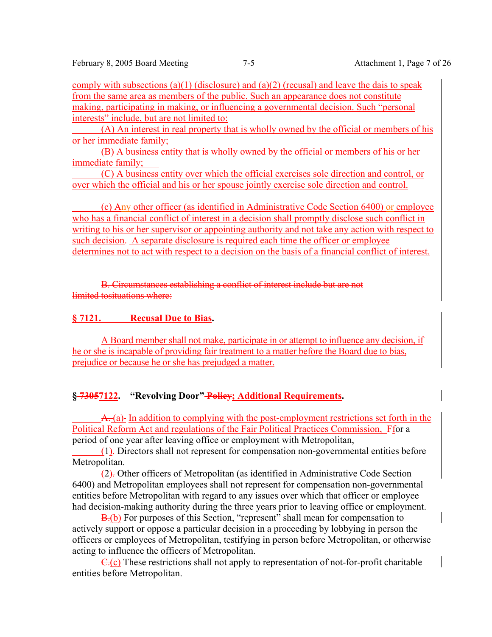comply with subsections (a)(1) (disclosure) and (a)(2) (recusal) and leave the dais to speak from the same area as members of the public. Such an appearance does not constitute making, participating in making, or influencing a governmental decision. Such "personal interests" include, but are not limited to:

 (A) An interest in real property that is wholly owned by the official or members of his or her immediate family;

 (B) A business entity that is wholly owned by the official or members of his or her immediate family;

 (C) A business entity over which the official exercises sole direction and control, or over which the official and his or her spouse jointly exercise sole direction and control.

 (c) Any other officer (as identified in Administrative Code Section 6400) or employee who has a financial conflict of interest in a decision shall promptly disclose such conflict in writing to his or her supervisor or appointing authority and not take any action with respect to such decision. A separate disclosure is required each time the officer or employee determines not to act with respect to a decision on the basis of a financial conflict of interest.

B. Circumstances establishing a conflict of interest include but are not limited tosituations where:

# **§ 7121. Recusal Due to Bias.**

A Board member shall not make, participate in or attempt to influence any decision, if he or she is incapable of providing fair treatment to a matter before the Board due to bias, prejudice or because he or she has prejudged a matter.

# **§ 73057122. "Revolving Door" Policy; Additional Requirements.**

A. (a) In addition to complying with the post-employment restrictions set forth in the Political Reform Act and regulations of the Fair Political Practices Commission, Ffor a period of one year after leaving office or employment with Metropolitan,

 (1). Directors shall not represent for compensation non-governmental entities before Metropolitan.

 (2). Other officers of Metropolitan (as identified in Administrative Code Section 6400) and Metropolitan employees shall not represent for compensation non-governmental entities before Metropolitan with regard to any issues over which that officer or employee had decision-making authority during the three years prior to leaving office or employment.

**B.**(b) For purposes of this Section, "represent" shall mean for compensation to actively support or oppose a particular decision in a proceeding by lobbying in person the officers or employees of Metropolitan, testifying in person before Metropolitan, or otherwise acting to influence the officers of Metropolitan.

 $C(r)$  These restrictions shall not apply to representation of not-for-profit charitable entities before Metropolitan.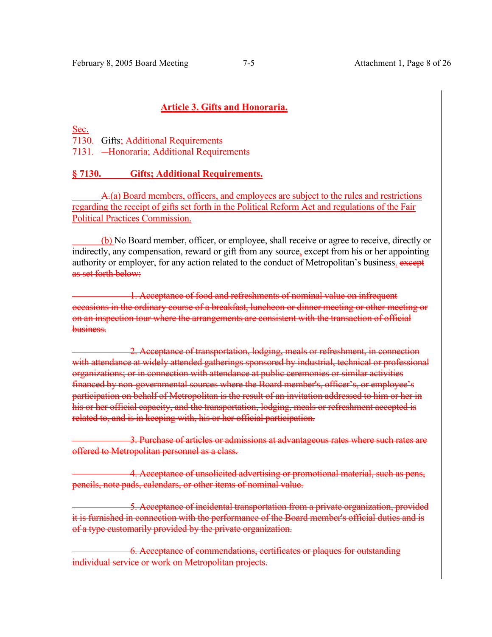# **Article 3. Gifts and Honoraria.**

Sec. 7130. Gifts; Additional Requirements 7131. - Honoraria: Additional Requirements

# **§ 7130. Gifts; Additional Requirements.**

A.(a) Board members, officers, and employees are subject to the rules and restrictions regarding the receipt of gifts set forth in the Political Reform Act and regulations of the Fair Political Practices Commission.

 (b) No Board member, officer, or employee, shall receive or agree to receive, directly or indirectly, any compensation, reward or gift from any source, except from his or her appointing authority or employer, for any action related to the conduct of Metropolitan's business. except as set forth below:

1. Acceptance of food and refreshments of nominal value on infrequent occasions in the ordinary course of a breakfast, luncheon or dinner meeting or other meeting or on an inspection tour where the arrangements are consistent with the transaction of official business.

2. Acceptance of transportation, lodging, meals or refreshment, in connection with attendance at widely attended gatherings sponsored by industrial, technical or professional organizations; or in connection with attendance at public ceremonies or similar activities financed by non-governmental sources where the Board member's, officer's, or employee's participation on behalf of Metropolitan is the result of an invitation addressed to him or her in his or her official capacity, and the transportation, lodging, meals or refreshment accepted is related to, and is in keeping with, his or her official participation.

3. Purchase of articles or admissions at advantageous rates where such rates are offered to Metropolitan personnel as a class.

4. Acceptance of unsolicited advertising or promotional material, such as pens, pencils, note pads, calendars, or other items of nominal value.

5. Acceptance of incidental transportation from a private organization, provided it is furnished in connection with the performance of the Board member's official duties and is of a type customarily provided by the private organization.

6. Acceptance of commendations, certificates or plaques for outstanding individual service or work on Metropolitan projects.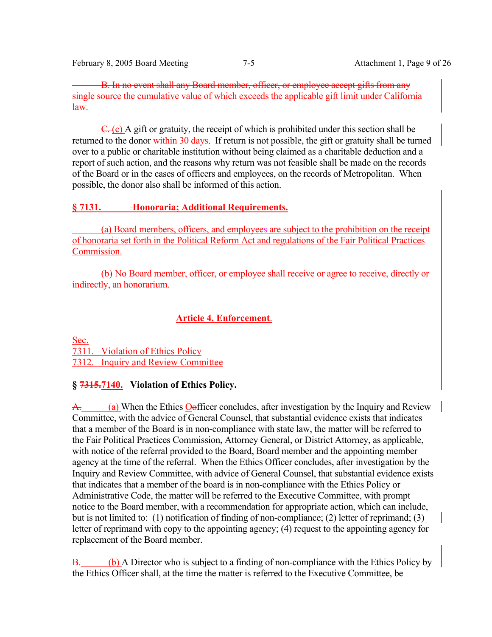February 8, 2005 Board Meeting 7-5 Attachment 1, Page 9 of 26

B. In no event shall any Board member, officer, or employee accept gifts from any single source the cumulative value of which exceeds the applicable gift limit under California law.

 $\overline{C}$ . (c) A gift or gratuity, the receipt of which is prohibited under this section shall be returned to the donor within 30 days. If return is not possible, the gift or gratuity shall be turned over to a public or charitable institution without being claimed as a charitable deduction and a report of such action, and the reasons why return was not feasible shall be made on the records of the Board or in the cases of officers and employees, on the records of Metropolitan. When possible, the donor also shall be informed of this action.

# **§ 7131. Honoraria; Additional Requirements.**

 (a) Board members, officers, and employees are subject to the prohibition on the receipt of honoraria set forth in the Political Reform Act and regulations of the Fair Political Practices Commission.

 (b) No Board member, officer, or employee shall receive or agree to receive, directly or indirectly, an honorarium.

# **Article 4. Enforcement**.

Sec. 7311. Violation of Ethics Policy 7312. Inquiry and Review Committee

# **§ 7315.7140. Violation of Ethics Policy.**

A. (a) When the Ethics Oofficer concludes, after investigation by the Inquiry and Review Committee, with the advice of General Counsel, that substantial evidence exists that indicates that a member of the Board is in non-compliance with state law, the matter will be referred to the Fair Political Practices Commission, Attorney General, or District Attorney, as applicable, with notice of the referral provided to the Board, Board member and the appointing member agency at the time of the referral. When the Ethics Officer concludes, after investigation by the Inquiry and Review Committee, with advice of General Counsel, that substantial evidence exists that indicates that a member of the board is in non-compliance with the Ethics Policy or Administrative Code, the matter will be referred to the Executive Committee, with prompt notice to the Board member, with a recommendation for appropriate action, which can include, but is not limited to: (1) notification of finding of non-compliance; (2) letter of reprimand; (3) letter of reprimand with copy to the appointing agency; (4) request to the appointing agency for replacement of the Board member.

B. (b) A Director who is subject to a finding of non-compliance with the Ethics Policy by the Ethics Officer shall, at the time the matter is referred to the Executive Committee, be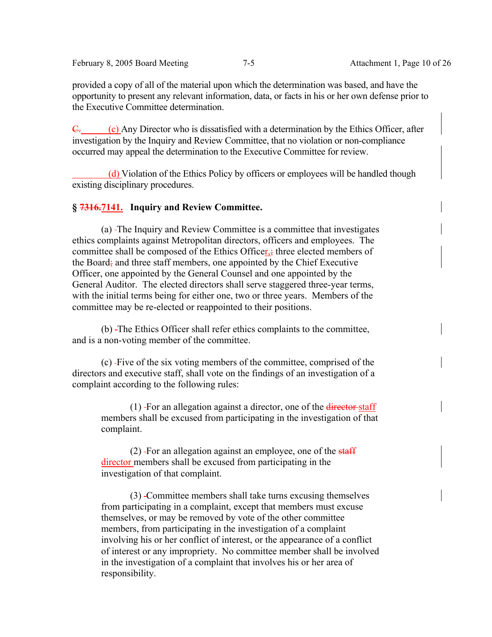February 8, 2005 Board Meeting 7-5 Attachment 1, Page 10 of 26

provided a copy of all of the material upon which the determination was based, and have the opportunity to present any relevant information, data, or facts in his or her own defense prior to the Executive Committee determination.

 $\overline{C}$ . (c) Any Director who is dissatisfied with a determination by the Ethics Officer, after investigation by the Inquiry and Review Committee, that no violation or non-compliance occurred may appeal the determination to the Executive Committee for review.

 (d) Violation of the Ethics Policy by officers or employees will be handled though existing disciplinary procedures.

# **§ 7316.7141. Inquiry and Review Committee.**

 (a) The Inquiry and Review Committee is a committee that investigates ethics complaints against Metropolitan directors, officers and employees. The committee shall be composed of the Ethics Officer, three elected members of the Board; and three staff members, one appointed by the Chief Executive Officer, one appointed by the General Counsel and one appointed by the General Auditor. The elected directors shall serve staggered three-year terms, with the initial terms being for either one, two or three years. Members of the committee may be re-elected or reappointed to their positions.

 (b) The Ethics Officer shall refer ethics complaints to the committee, and is a non-voting member of the committee.

 (c) Five of the six voting members of the committee, comprised of the directors and executive staff, shall vote on the findings of an investigation of a complaint according to the following rules:

 $(1)$ -For an allegation against a director, one of the director-staff members shall be excused from participating in the investigation of that complaint.

 $(2)$  -For an allegation against an employee, one of the staff director members shall be excused from participating in the investigation of that complaint.

 (3) Committee members shall take turns excusing themselves from participating in a complaint, except that members must excuse themselves, or may be removed by vote of the other committee members, from participating in the investigation of a complaint involving his or her conflict of interest, or the appearance of a conflict of interest or any impropriety. No committee member shall be involved in the investigation of a complaint that involves his or her area of responsibility.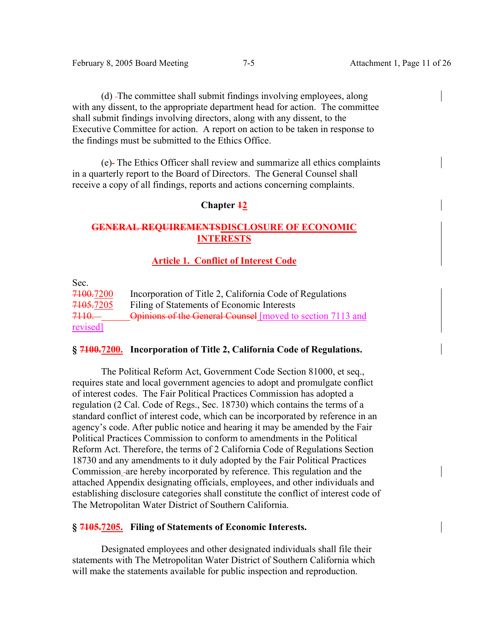(d) The committee shall submit findings involving employees, along with any dissent, to the appropriate department head for action. The committee shall submit findings involving directors, along with any dissent, to the Executive Committee for action. A report on action to be taken in response to the findings must be submitted to the Ethics Office.

 (e) The Ethics Officer shall review and summarize all ethics complaints in a quarterly report to the Board of Directors. The General Counsel shall receive a copy of all findings, reports and actions concerning complaints.

# **Chapter 12**

# **GENERAL REQUIREMENTSDISCLOSURE OF ECONOMIC INTERESTS**

# **Article 1. Conflict of Interest Code**

Sec.

| <del>7100.</del> 7200 | Incorporation of Title 2, California Code of Regulations   |
|-----------------------|------------------------------------------------------------|
| <del>7105.</del> 7205 | Filing of Statements of Economic Interests                 |
| <del>7110. -</del>    | Opinions of the General Counsel [moved to section 7113 and |
| revised]              |                                                            |

# **§ 7100.7200. Incorporation of Title 2, California Code of Regulations.**

 The Political Reform Act, Government Code Section 81000, et seq., requires state and local government agencies to adopt and promulgate conflict of interest codes. The Fair Political Practices Commission has adopted a regulation (2 Cal. Code of Regs., Sec. 18730) which contains the terms of a standard conflict of interest code, which can be incorporated by reference in an agency's code. After public notice and hearing it may be amended by the Fair Political Practices Commission to conform to amendments in the Political Reform Act. Therefore, the terms of 2 California Code of Regulations Section 18730 and any amendments to it duly adopted by the Fair Political Practices Commission are hereby incorporated by reference. This regulation and the attached Appendix designating officials, employees, and other individuals and establishing disclosure categories shall constitute the conflict of interest code of The Metropolitan Water District of Southern California.

# **§ 7105.7205. Filing of Statements of Economic Interests.**

 Designated employees and other designated individuals shall file their statements with The Metropolitan Water District of Southern California which will make the statements available for public inspection and reproduction.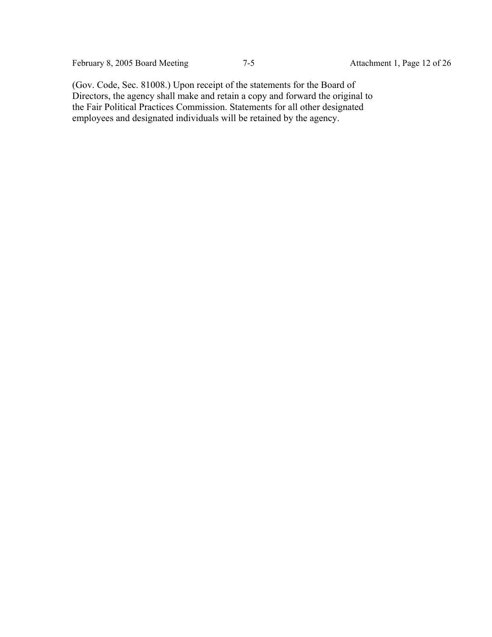February 8, 2005 Board Meeting 7-5 Attachment 1, Page 12 of 26

(Gov. Code, Sec. 81008.) Upon receipt of the statements for the Board of Directors, the agency shall make and retain a copy and forward the original to the Fair Political Practices Commission. Statements for all other designated employees and designated individuals will be retained by the agency.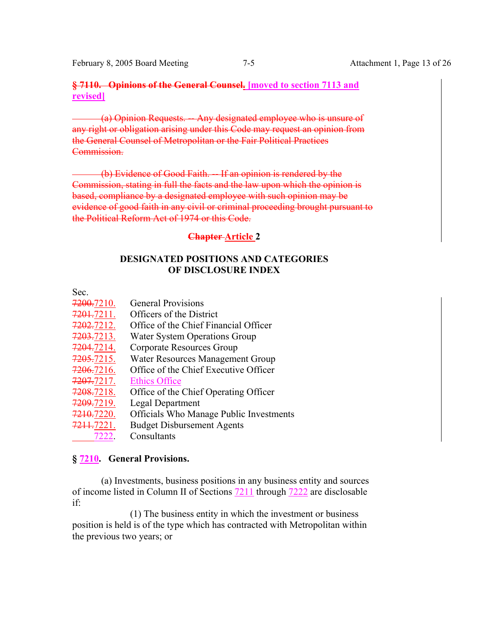February 8, 2005 Board Meeting 7-5 Attachment 1, Page 13 of 26

# **§ 7110. Opinions of the General Counsel. [moved to section 7113 and revised]**

(a) Opinion Requests. -- Any designated employee who is unsure of any right or obligation arising under this Code may request an opinion from the General Counsel of Metropolitan or the Fair Political Practices Commission.

(b) Evidence of Good Faith. -- If an opinion is rendered by the Commission, stating in full the facts and the law upon which the opinion is based, compliance by a designated employee with such opinion may be evidence of good faith in any civil or criminal proceeding brought pursuant to the Political Reform Act of 1974 or this Code.

# **Chapter Article 2**

# **DESIGNATED POSITIONS AND CATEGORIES OF DISCLOSURE INDEX**

# Sec.

- 7200.7210. General Provisions 7201.7211. Officers of the District 7202.7212. Office of the Chief Financial Officer 7203.7213. Water System Operations Group
- 7204.7214. Corporate Resources Group
- 7205.7215. Water Resources Management Group
- 7206.7216. Office of the Chief Executive Officer
- 7207.7217. Ethics Office
- 7208.7218. Office of the Chief Operating Officer
- 7209.7219. Legal Department
- 7210.7220. Officials Who Manage Public Investments
- 7211.7221. Budget Disbursement Agents
- 7222. Consultants

# **§ 7210. General Provisions.**

 (a) Investments, business positions in any business entity and sources of income listed in Column II of Sections 7211 through 7222 are disclosable if:

 (1) The business entity in which the investment or business position is held is of the type which has contracted with Metropolitan within the previous two years; or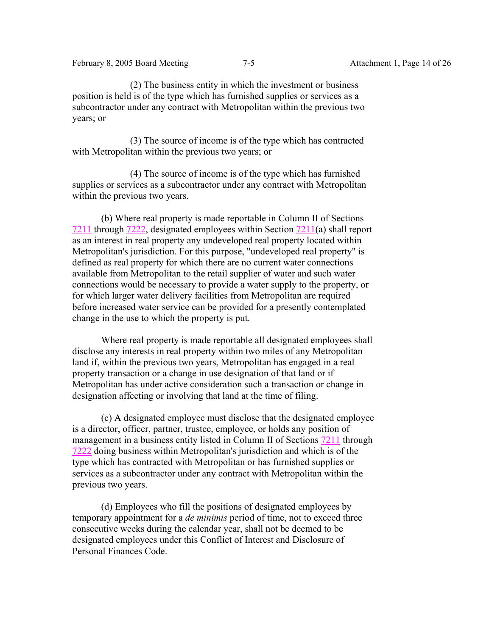(2) The business entity in which the investment or business position is held is of the type which has furnished supplies or services as a subcontractor under any contract with Metropolitan within the previous two years; or

 (3) The source of income is of the type which has contracted with Metropolitan within the previous two years; or

 (4) The source of income is of the type which has furnished supplies or services as a subcontractor under any contract with Metropolitan within the previous two years.

 (b) Where real property is made reportable in Column II of Sections 7211 through 7222, designated employees within Section 7211(a) shall report as an interest in real property any undeveloped real property located within Metropolitan's jurisdiction. For this purpose, "undeveloped real property" is defined as real property for which there are no current water connections available from Metropolitan to the retail supplier of water and such water connections would be necessary to provide a water supply to the property, or for which larger water delivery facilities from Metropolitan are required before increased water service can be provided for a presently contemplated change in the use to which the property is put.

 Where real property is made reportable all designated employees shall disclose any interests in real property within two miles of any Metropolitan land if, within the previous two years, Metropolitan has engaged in a real property transaction or a change in use designation of that land or if Metropolitan has under active consideration such a transaction or change in designation affecting or involving that land at the time of filing.

 (c) A designated employee must disclose that the designated employee is a director, officer, partner, trustee, employee, or holds any position of management in a business entity listed in Column II of Sections 7211 through 7222 doing business within Metropolitan's jurisdiction and which is of the type which has contracted with Metropolitan or has furnished supplies or services as a subcontractor under any contract with Metropolitan within the previous two years.

 (d) Employees who fill the positions of designated employees by temporary appointment for a *de minimis* period of time, not to exceed three consecutive weeks during the calendar year, shall not be deemed to be designated employees under this Conflict of Interest and Disclosure of Personal Finances Code.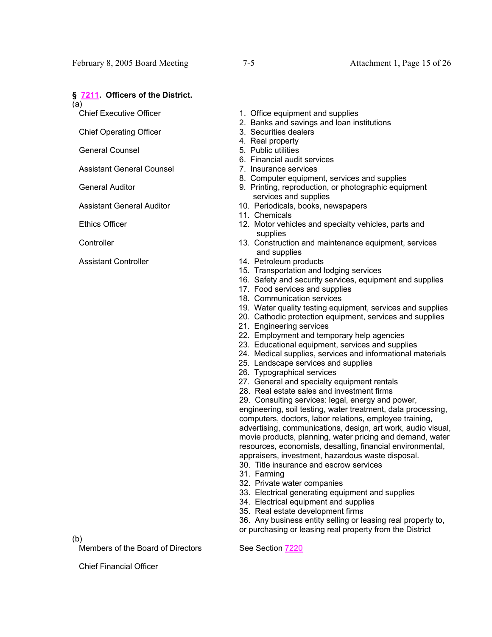#### **§ 7211. Officers of the District.**

(a)

Chief Executive Officer

Chief Operating Officer

General Counsel

Assistant General Counsel

General Auditor

Assistant General Auditor

Ethics Officer

**Controller** 

Assistant Controller

1. Office equipment and supplies

- 2. Banks and savings and loan institutions
- 3. Securities dealers
- 4. Real property
- 5. Public utilities
- 6. Financial audit services
- 7. Insurance services
- 8. Computer equipment, services and supplies
- 9. Printing, reproduction, or photographic equipment services and supplies
- 10. Periodicals, books, newspapers
- 11. Chemicals
- 12. Motor vehicles and specialty vehicles, parts and supplies
- 13. Construction and maintenance equipment, services and supplies
- 14. Petroleum products
- 15. Transportation and lodging services
- 16. Safety and security services, equipment and supplies
- 17. Food services and supplies
- 18. Communication services
- 19. Water quality testing equipment, services and supplies
- 20. Cathodic protection equipment, services and supplies
- 21. Engineering services
- 22. Employment and temporary help agencies
- 23. Educational equipment, services and supplies
- 24. Medical supplies, services and informational materials
- 25. Landscape services and supplies
- 26. Typographical services
- 27. General and specialty equipment rentals
- 28. Real estate sales and investment firms
- 29. Consulting services: legal, energy and power,

engineering, soil testing, water treatment, data processing, computers, doctors, labor relations, employee training, advertising, communications, design, art work, audio visual, movie products, planning, water pricing and demand, water resources, economists, desalting, financial environmental, appraisers, investment, hazardous waste disposal.

30. Title insurance and escrow services

- 31. Farming
- 32. Private water companies
- 33. Electrical generating equipment and supplies
- 34. Electrical equipment and supplies
- 35. Real estate development firms

36. Any business entity selling or leasing real property to, or purchasing or leasing real property from the District

(b)

Members of the Board of Directors See Section 7220

Chief Financial Officer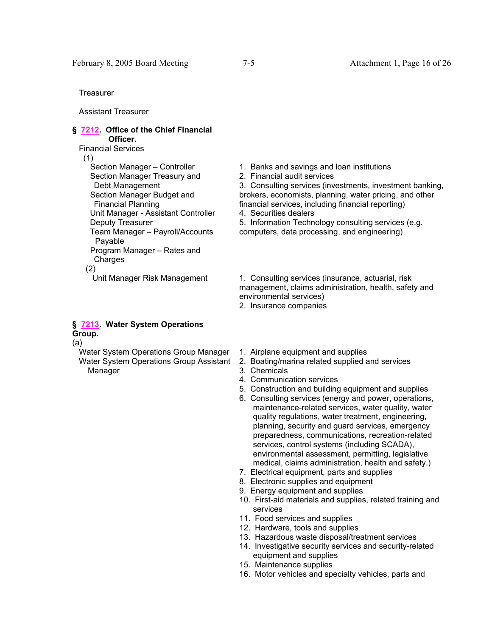**Treasurer** 

Assistant Treasurer

## **§ 7212. Office of the Chief Financial Officer.**

Financial Services

(1)

 Section Manager – Controller Section Manager Treasury and Debt Management Section Manager Budget and Financial Planning Unit Manager - Assistant Controller Deputy Treasurer Team Manager – Payroll/Accounts Payable Program Manager – Rates and Charges (2)

## **§ 7213. Water System Operations Group.**

(a)

 Water System Operations Group Manager Water System Operations Group Assistant Manager

- 1. Banks and savings and loan institutions
- 2. Financial audit services

3. Consulting services (investments, investment banking, brokers, economists, planning, water pricing, and other financial services, including financial reporting)

4. Securities dealers

5. Information Technology consulting services (e.g. computers, data processing, and engineering)

Unit Manager Risk Management 1. Consulting services (insurance, actuarial, risk management, claims administration, health, safety and environmental services)

- 2. Insurance companies
- 1. Airplane equipment and supplies
- 2. Boating/marina related supplied and services
- 3. Chemicals
- 4. Communication services
- 5. Construction and building equipment and supplies
- 6. Consulting services (energy and power, operations, maintenance-related services, water quality, water quality regulations, water treatment, engineering, planning, security and guard services, emergency preparedness, communications, recreation-related services, control systems (including SCADA), environmental assessment, permitting, legislative medical, claims administration, health and safety.)
- 7. Electrical equipment, parts and supplies
- 8. Electronic supplies and equipment
- 9. Energy equipment and supplies
- 10. First-aid materials and supplies, related training and services
- 11. Food services and supplies
- 12. Hardware, tools and supplies
- 13. Hazardous waste disposal/treatment services
- 14. Investigative security services and security-related equipment and supplies
- 15. Maintenance supplies
- 16. Motor vehicles and specialty vehicles, parts and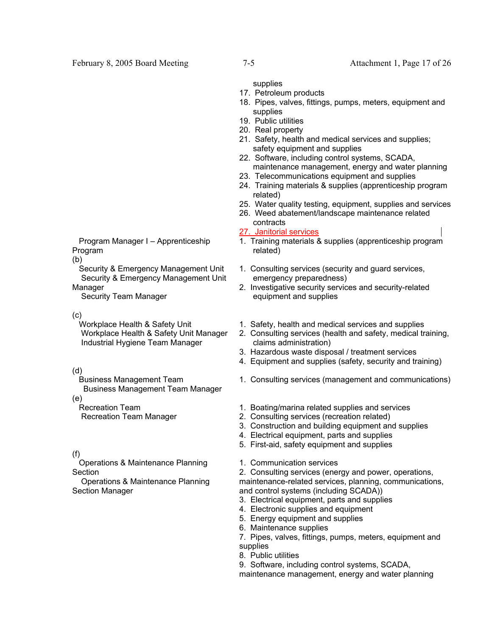supplies

- 17. Petroleum products
- 18. Pipes, valves, fittings, pumps, meters, equipment and supplies
- 19. Public utilities
- 20. Real property
- 21. Safety, health and medical services and supplies; safety equipment and supplies
- 22. Software, including control systems, SCADA, maintenance management, energy and water planning
- 23. Telecommunications equipment and supplies
- 24. Training materials & supplies (apprenticeship program related)
- 25. Water quality testing, equipment, supplies and services
- 26. Weed abatement/landscape maintenance related contracts

#### 27. Janitorial services

- 1. Training materials & supplies (apprenticeship program related)
- 1. Consulting services (security and guard services, emergency preparedness)
- 2. Investigative security services and security-related equipment and supplies
- Program Manager I Apprenticeship Program (b)

 Security & Emergency Management Unit Security & Emergency Management Unit Manager

Security Team Manager

(c)

 Workplace Health & Safety Unit Workplace Health & Safety Unit Manager Industrial Hygiene Team Manager

(d)

 Business Management Team Business Management Team Manager

(e) Recreation Team

Recreation Team Manager

(f)

 Operations & Maintenance Planning Section

 Operations & Maintenance Planning Section Manager

- 1. Safety, health and medical services and supplies
- 2. Consulting services (health and safety, medical training, claims administration)
- 3. Hazardous waste disposal / treatment services
- 4. Equipment and supplies (safety, security and training)
- 1. Consulting services (management and communications)
- 1. Boating/marina related supplies and services
- 2. Consulting services (recreation related)
- 3. Construction and building equipment and supplies
- 4. Electrical equipment, parts and supplies
- 5. First-aid, safety equipment and supplies
- 1. Communication services

2. Consulting services (energy and power, operations, maintenance-related services, planning, communications, and control systems (including SCADA))

- 3. Electrical equipment, parts and supplies
- 4. Electronic supplies and equipment
- 5. Energy equipment and supplies
- 6. Maintenance supplies
- 7. Pipes, valves, fittings, pumps, meters, equipment and supplies
- 8. Public utilities
- 9. Software, including control systems, SCADA,

maintenance management, energy and water planning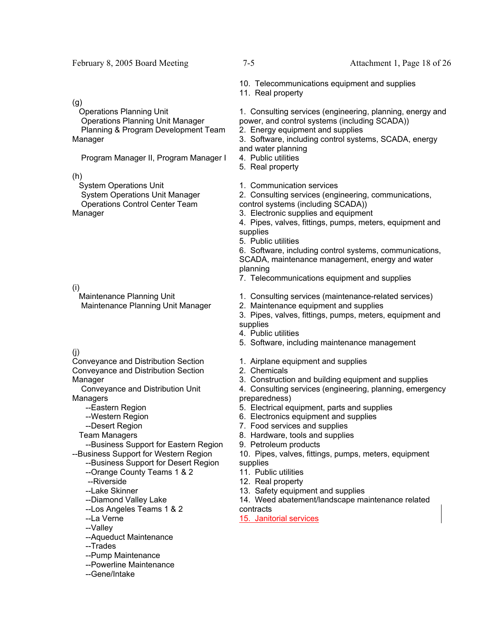#### February 8, 2005 Board Meeting 7-5 Attachment 1, Page 18 of 26

10. Telecommunications equipment and supplies

11. Real property

1. Consulting services (engineering, planning, energy and power, and control systems (including SCADA))

2. Energy equipment and supplies

3. Software, including control systems, SCADA, energy and water planning

- 4. Public utilities
- 5. Real property
- 1. Communication services

2. Consulting services (engineering, communications, control systems (including SCADA))

- 3. Electronic supplies and equipment
- 4. Pipes, valves, fittings, pumps, meters, equipment and supplies
- 5. Public utilities

6. Software, including control systems, communications, SCADA, maintenance management, energy and water planning

- 7. Telecommunications equipment and supplies
- 1. Consulting services (maintenance-related services)
- 2. Maintenance equipment and supplies
- 3. Pipes, valves, fittings, pumps, meters, equipment and supplies
- 4. Public utilities
- 5. Software, including maintenance management
- 1. Airplane equipment and supplies
- 2. Chemicals
- 3. Construction and building equipment and supplies
- 4. Consulting services (engineering, planning, emergency preparedness)
- 5. Electrical equipment, parts and supplies
- 6. Electronics equipment and supplies
- 7. Food services and supplies
- 8. Hardware, tools and supplies
- 9. Petroleum products
- 10. Pipes, valves, fittings, pumps, meters, equipment supplies
- 11. Public utilities
- 12. Real property
- 13. Safety equipment and supplies
- 14. Weed abatement/landscape maintenance related contracts
- 15. Janitorial services

(g)

 Operations Planning Unit Operations Planning Unit Manager Planning & Program Development Team Manager

Program Manager II, Program Manager I

(h)

 System Operations Unit System Operations Unit Manager Operations Control Center Team Manager

(i)

 Maintenance Planning Unit Maintenance Planning Unit Manager

#### (j)

Conveyance and Distribution Section Conveyance and Distribution Section Manager

 Conveyance and Distribution Unit Managers

--Eastern Region

--Western Region

- --Desert Region
- Team Managers

 --Business Support for Eastern Region --Business Support for Western Region

--Business Support for Desert Region

- --Orange County Teams 1 & 2
- --Riverside
- --Lake Skinner
- --Diamond Valley Lake
- --Los Angeles Teams 1 & 2
- --La Verne
- --Valley
- --Aqueduct Maintenance
- --Trades
- --Pump Maintenance
- --Powerline Maintenance
- --Gene/Intake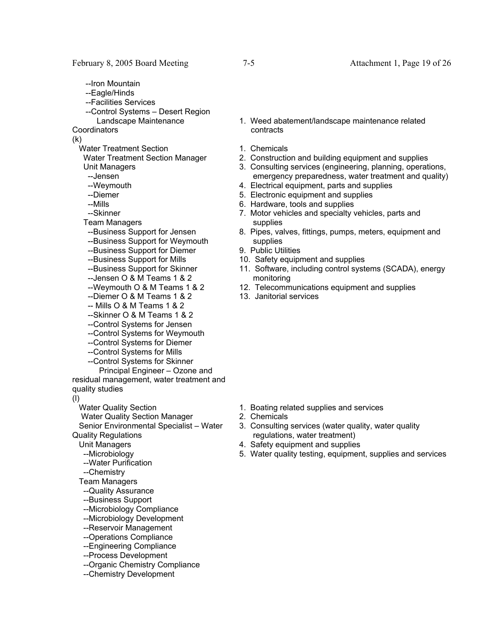- --Iron Mountain
- --Eagle/Hinds
- --Facilities Services
- --Control Systems Desert Region Landscape Maintenance

**Coordinators** 

(k)

- Water Treatment Section
- Water Treatment Section Manager Unit Managers

--Jensen

- --Weymouth
- --Diemer
- --Mills
- --Skinner
- Team Managers
- --Business Support for Jensen
- --Business Support for Weymouth
- --Business Support for Diemer
- --Business Support for Mills
- --Business Support for Skinner
- --Jensen O & M Teams 1 & 2
- --Weymouth O & M Teams 1 & 2
- --Diemer O & M Teams 1 & 2
- -- Mills O & M Teams 1 & 2
- --Skinner O & M Teams 1 & 2
- --Control Systems for Jensen
- --Control Systems for Weymouth
- --Control Systems for Diemer
- --Control Systems for Mills
- --Control Systems for Skinner
- Principal Engineer Ozone and residual management, water treatment and quality studies
- (l)

Water Quality Section

Water Quality Section Manager

 Senior Environmental Specialist – Water Quality Regulations

Unit Managers

- --Microbiology
- --Water Purification
- --Chemistry
- Team Managers
- --Quality Assurance
- --Business Support
- --Microbiology Compliance
- --Microbiology Development
- --Reservoir Management
- --Operations Compliance
- --Engineering Compliance
- --Process Development
- --Organic Chemistry Compliance
- --Chemistry Development
- 1. Weed abatement/landscape maintenance related contracts
- 1. Chemicals
- 2. Construction and building equipment and supplies
- 3. Consulting services (engineering, planning, operations, emergency preparedness, water treatment and quality)
- 4. Electrical equipment, parts and supplies
- 5. Electronic equipment and supplies
- 6. Hardware, tools and supplies
- 7. Motor vehicles and specialty vehicles, parts and supplies
- 8. Pipes, valves, fittings, pumps, meters, equipment and supplies
- 9. Public Utilities
- 10. Safety equipment and supplies
- 11. Software, including control systems (SCADA), energy monitoring
- 12. Telecommunications equipment and supplies
- 13. Janitorial services

- 1. Boating related supplies and services
- 2. Chemicals
- 3. Consulting services (water quality, water quality regulations, water treatment)
- 4. Safety equipment and supplies
- 5. Water quality testing, equipment, supplies and services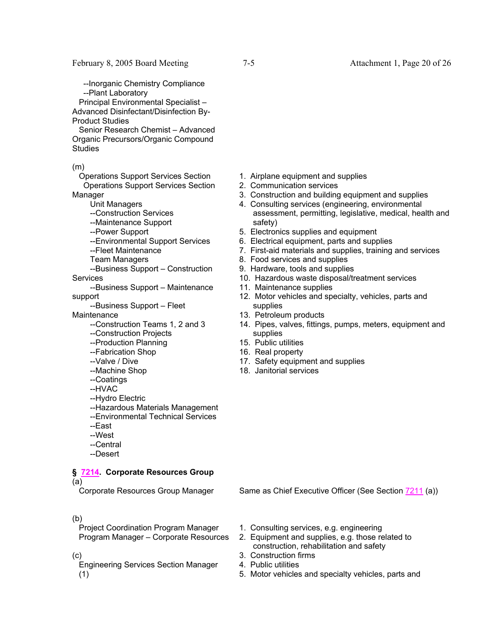--Inorganic Chemistry Compliance --Plant Laboratory

 Principal Environmental Specialist – Advanced Disinfectant/Disinfection By-

Product Studies

 Senior Research Chemist – Advanced Organic Precursors/Organic Compound **Studies** 

(m)

 Operations Support Services Section Operations Support Services Section Manager

Unit Managers

- --Construction Services
- --Maintenance Support
- --Power Support
- --Environmental Support Services
- --Fleet Maintenance

Team Managers

- --Business Support Construction **Services**
- --Business Support Maintenance support

--Business Support – Fleet

**Maintenance** 

- --Construction Teams 1, 2 and 3
- --Construction Projects
- --Production Planning
- --Fabrication Shop
- --Valve / Dive
- --Machine Shop
- --Coatings
- --HVAC
- --Hydro Electric
- --Hazardous Materials Management
- --Environmental Technical Services
- --East
- --West
- --Central
- --Desert

# **§ 7214. Corporate Resources Group**

(a)

#### (b)

 Project Coordination Program Manager Program Manager – Corporate Resources

(c)

 Engineering Services Section Manager (1)

- 1. Airplane equipment and supplies
- 2. Communication services
- 3. Construction and building equipment and supplies
- 4. Consulting services (engineering, environmental assessment, permitting, legislative, medical, health and safety)
- 5. Electronics supplies and equipment
- 6. Electrical equipment, parts and supplies
- 7. First-aid materials and supplies, training and services
- 8. Food services and supplies
- 9. Hardware, tools and supplies
- 10. Hazardous waste disposal/treatment services
- 11. Maintenance supplies
- 12. Motor vehicles and specialty, vehicles, parts and supplies
- 13. Petroleum products
- 14. Pipes, valves, fittings, pumps, meters, equipment and supplies
- 15. Public utilities
- 16. Real property
- 17. Safety equipment and supplies
- 18. Janitorial services

Corporate Resources Group Manager Same as Chief Executive Officer (See Section 7211 (a))

- 1. Consulting services, e.g. engineering
- 2. Equipment and supplies, e.g. those related to construction, rehabilitation and safety
- 3. Construction firms
- 4. Public utilities
- 5. Motor vehicles and specialty vehicles, parts and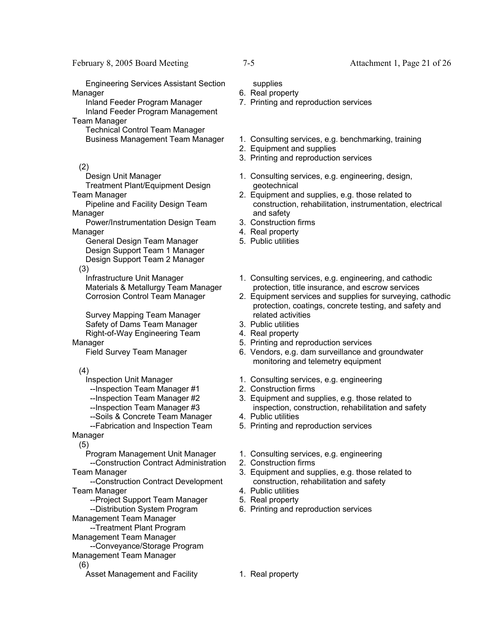Engineering Services Assistant Section Manager

 Inland Feeder Program Manager Inland Feeder Program Management Team Manager

Technical Control Team Manager

(2)

Design Unit Manager

 Treatment Plant/Equipment Design Team Manager

 Pipeline and Facility Design Team Manager

 Power/Instrumentation Design Team **Manager** 

 General Design Team Manager Design Support Team 1 Manager Design Support Team 2 Manager

(3)

 Infrastructure Unit Manager Materials & Metallurgy Team Manager Corrosion Control Team Manager

 Survey Mapping Team Manager Safety of Dams Team Manager Right-of-Way Engineering Team Manager

Field Survey Team Manager

(4)

Inspection Unit Manager

--Inspection Team Manager #1

--Inspection Team Manager #2

--Inspection Team Manager #3

--Soils & Concrete Team Manager

 --Fabrication and Inspection Team Manager

(5)

 Program Management Unit Manager --Construction Contract Administration

Team Manager

 --Construction Contract Development Team Manager

--Project Support Team Manager

--Distribution System Program

Management Team Manager

--Treatment Plant Program

Management Team Manager

 --Conveyance/Storage Program Management Team Manager

(6)

Asset Management and Facility 1. Real property

supplies

- 6. Real property
- 7. Printing and reproduction services
- Business Management Team Manager 1. Consulting services, e.g. benchmarking, training
	- 2. Equipment and supplies
	- 3. Printing and reproduction services
	- 1. Consulting services, e.g. engineering, design, geotechnical
	- 2. Equipment and supplies, e.g. those related to construction, rehabilitation, instrumentation, electrical and safety
	- 3. Construction firms
	- 4. Real property
	- 5. Public utilities
	- 1. Consulting services, e.g. engineering, and cathodic protection, title insurance, and escrow services
	- 2. Equipment services and supplies for surveying, cathodic protection, coatings, concrete testing, and safety and related activities
	- 3. Public utilities
	- 4. Real property
	- 5. Printing and reproduction services
	- 6. Vendors, e.g. dam surveillance and groundwater monitoring and telemetry equipment
	- 1. Consulting services, e.g. engineering
	- 2. Construction firms
	- 3. Equipment and supplies, e.g. those related to inspection, construction, rehabilitation and safety
	- 4. Public utilities
	- 5. Printing and reproduction services
	- 1. Consulting services, e.g. engineering
	- 2. Construction firms
	- 3. Equipment and supplies, e.g. those related to construction, rehabilitation and safety
	- 4. Public utilities
	- 5. Real property
	- 6. Printing and reproduction services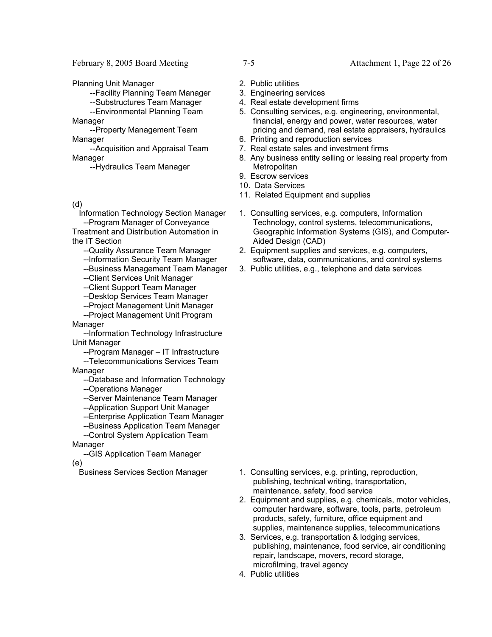February 8, 2005 Board Meeting 7-5 Attachment 1, Page 22 of 26

Planning Unit Manager

--Facility Planning Team Manager

--Substructures Team Manager

 --Environmental Planning Team **Manager** 

 --Property Management Team Manager

 --Acquisition and Appraisal Team Manager

--Hydraulics Team Manager

(d)

 Information Technology Section Manager --Program Manager of Conveyance Treatment and Distribution Automation in

the IT Section

- --Quality Assurance Team Manager
- --Information Security Team Manager
- --Business Management Team Manager
- --Client Services Unit Manager
- --Client Support Team Manager
- --Desktop Services Team Manager
- --Project Management Unit Manager --Project Management Unit Program
- Manager

 --Information Technology Infrastructure Unit Manager

--Program Manager – IT Infrastructure

 --Telecommunications Services Team Manager

--Database and Information Technology

- --Operations Manager
- --Server Maintenance Team Manager
- --Application Support Unit Manager
- --Enterprise Application Team Manager
- --Business Application Team Manager

--Control System Application Team

Manager

 --GIS Application Team Manager (e)

- 
- 2. Public utilities
- 3. Engineering services
- 4. Real estate development firms
- 5. Consulting services, e.g. engineering, environmental, financial, energy and power, water resources, water pricing and demand, real estate appraisers, hydraulics
- 6. Printing and reproduction services
- 7. Real estate sales and investment firms
- 8. Any business entity selling or leasing real property from **Metropolitan**
- 9. Escrow services
- 10. Data Services
- 11. Related Equipment and supplies
- 1. Consulting services, e.g. computers, Information Technology, control systems, telecommunications, Geographic Information Systems (GIS), and Computer-Aided Design (CAD)
- 2. Equipment supplies and services, e.g. computers, software, data, communications, and control systems
- 3. Public utilities, e.g., telephone and data services

- Business Services Section Manager 1. Consulting services, e.g. printing, reproduction, publishing, technical writing, transportation, maintenance, safety, food service
	- 2. Equipment and supplies, e.g. chemicals, motor vehicles, computer hardware, software, tools, parts, petroleum products, safety, furniture, office equipment and supplies, maintenance supplies, telecommunications
	- 3. Services, e.g. transportation & lodging services, publishing, maintenance, food service, air conditioning repair, landscape, movers, record storage, microfilming, travel agency
	- 4. Public utilities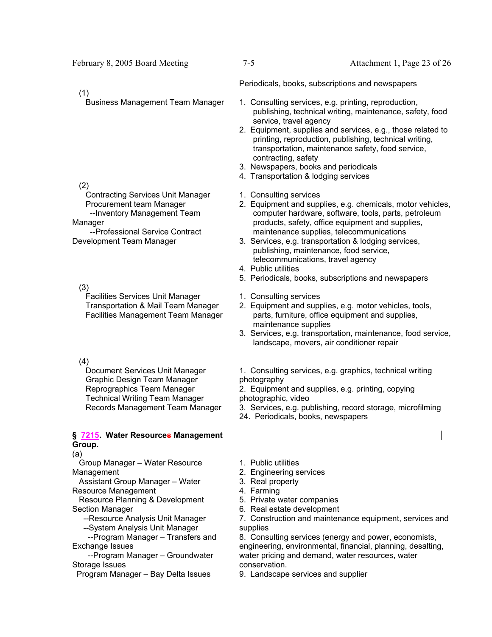# (1)

# (2)

 Contracting Services Unit Manager Procurement team Manager --Inventory Management Team

Manager --Professional Service Contract Development Team Manager

 (3) Facilities Services Unit Manager Transportation & Mail Team Manager Facilities Management Team Manager

# (4)

 Document Services Unit Manager Graphic Design Team Manager Reprographics Team Manager Technical Writing Team Manager Records Management Team Manager

#### **§ 7215. Water Resources Management Group.**

# (a)

 Group Manager – Water Resource Management

 Assistant Group Manager – Water Resource Management

 Resource Planning & Development Section Manager

- --Resource Analysis Unit Manager
- --System Analysis Unit Manager

 --Program Manager – Transfers and Exchange Issues

 --Program Manager – Groundwater Storage Issues

Program Manager – Bay Delta Issues

Periodicals, books, subscriptions and newspapers

- Business Management Team Manager 1. Consulting services, e.g. printing, reproduction, publishing, technical writing, maintenance, safety, food service, travel agency
	- 2. Equipment, supplies and services, e.g., those related to printing, reproduction, publishing, technical writing, transportation, maintenance safety, food service, contracting, safety
	- 3. Newspapers, books and periodicals
	- 4. Transportation & lodging services
	- 1. Consulting services
	- 2. Equipment and supplies, e.g. chemicals, motor vehicles, computer hardware, software, tools, parts, petroleum products, safety, office equipment and supplies, maintenance supplies, telecommunications
	- 3. Services, e.g. transportation & lodging services, publishing, maintenance, food service, telecommunications, travel agency
	- 4. Public utilities
	- 5. Periodicals, books, subscriptions and newspapers
	- 1. Consulting services
	- 2. Equipment and supplies, e.g. motor vehicles, tools, parts, furniture, office equipment and supplies, maintenance supplies
	- 3. Services, e.g. transportation, maintenance, food service, landscape, movers, air conditioner repair
	- 1. Consulting services, e.g. graphics, technical writing photography
	- 2. Equipment and supplies, e.g. printing, copying photographic, video
	- 3. Services, e.g. publishing, record storage, microfilming
	- 24. Periodicals, books, newspapers
	- 1. Public utilities
	- 2. Engineering services
	- 3. Real property
	- 4. Farming
	- 5. Private water companies
	- 6. Real estate development

7. Construction and maintenance equipment, services and supplies

8. Consulting services (energy and power, economists, engineering, environmental, financial, planning, desalting, water pricing and demand, water resources, water conservation.

9. Landscape services and supplier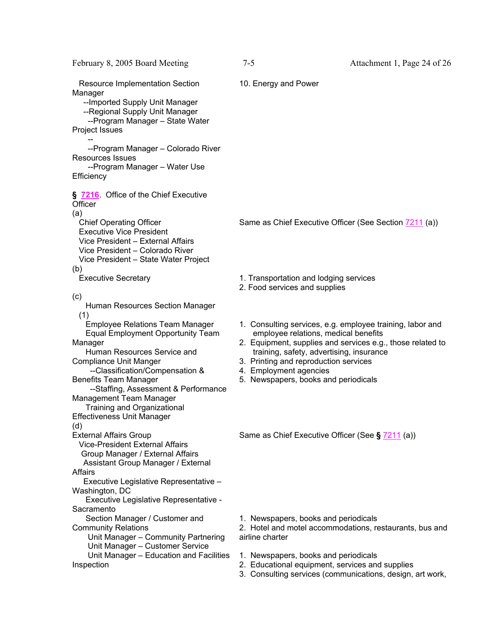| February 8, 2005 Board Meeting                                                                                                                                                                                                                                                                                                                                                                                                  | $7 - 5$                                                                                                                                                                                                                                                                                                                | Attachment 1, Page 24 of 26 |
|---------------------------------------------------------------------------------------------------------------------------------------------------------------------------------------------------------------------------------------------------------------------------------------------------------------------------------------------------------------------------------------------------------------------------------|------------------------------------------------------------------------------------------------------------------------------------------------------------------------------------------------------------------------------------------------------------------------------------------------------------------------|-----------------------------|
| <b>Resource Implementation Section</b><br>Manager<br>-- Imported Supply Unit Manager<br>--Regional Supply Unit Manager<br>--Program Manager - State Water<br>Project Issues<br>--Program Manager - Colorado River<br><b>Resources Issues</b><br>--Program Manager - Water Use                                                                                                                                                   | 10. Energy and Power                                                                                                                                                                                                                                                                                                   |                             |
| Efficiency                                                                                                                                                                                                                                                                                                                                                                                                                      |                                                                                                                                                                                                                                                                                                                        |                             |
| § 7216. Office of the Chief Executive<br>Officer<br>(a)<br><b>Chief Operating Officer</b><br><b>Executive Vice President</b><br>Vice President - External Affairs<br>Vice President - Colorado River<br>Vice President - State Water Project<br>(b)                                                                                                                                                                             | Same as Chief Executive Officer (See Section 7211 (a))                                                                                                                                                                                                                                                                 |                             |
| <b>Executive Secretary</b>                                                                                                                                                                                                                                                                                                                                                                                                      | 1. Transportation and lodging services<br>2. Food services and supplies                                                                                                                                                                                                                                                |                             |
| (c)<br>Human Resources Section Manager<br>(1)<br><b>Employee Relations Team Manager</b><br><b>Equal Employment Opportunity Team</b><br>Manager<br>Human Resources Service and<br><b>Compliance Unit Manger</b><br>--Classification/Compensation &<br><b>Benefits Team Manager</b><br>--Staffing, Assessment & Performance<br>Management Team Manager<br>Training and Organizational<br><b>Effectiveness Unit Manager</b><br>(d) | 1. Consulting services, e.g. employee training, labor and<br>employee relations, medical benefits<br>2. Equipment, supplies and services e.g., those related to<br>training, safety, advertising, insurance<br>3. Printing and reproduction services<br>4. Employment agencies<br>5. Newspapers, books and periodicals |                             |
| <b>External Affairs Group</b><br><b>Vice-President External Affairs</b><br>Group Manager / External Affairs<br>Assistant Group Manager / External<br><b>Affairs</b><br>Executive Legislative Representative -<br>Washington, DC<br>Executive Legislative Representative -<br>Sacramento                                                                                                                                         | Same as Chief Executive Officer (See § 7211 (a))                                                                                                                                                                                                                                                                       |                             |
| Section Manager / Customer and<br><b>Community Relations</b><br>Unit Manager - Community Partnering<br>Unit Manager - Customer Service                                                                                                                                                                                                                                                                                          | 1. Newspapers, books and periodicals<br>2. Hotel and motel accommodations, restaurants, bus and<br>airline charter                                                                                                                                                                                                     |                             |
| Unit Manager - Education and Facilities<br>Inspection                                                                                                                                                                                                                                                                                                                                                                           | 1. Newspapers, books and periodicals<br>2. Educational equipment, services and supplies<br>3. Consulting services (communications, design, art work,                                                                                                                                                                   |                             |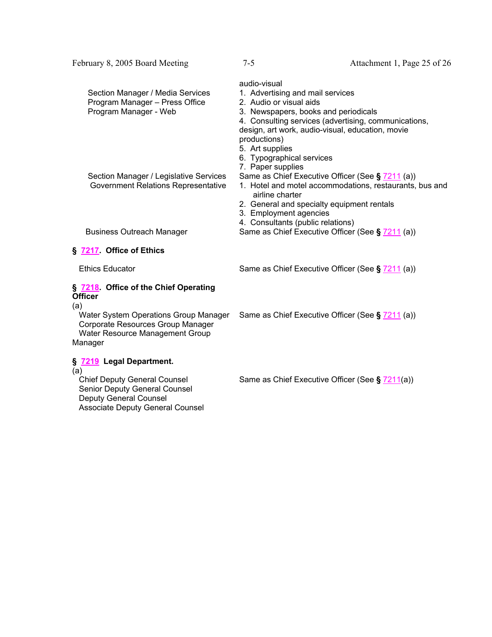| Section Manager / Media Services<br>Program Manager - Press Office<br>Program Manager - Web | audio-visual<br>1. Advertising and mail services<br>2. Audio or visual aids<br>3. Newspapers, books and periodicals<br>4. Consulting services (advertising, communications,<br>design, art work, audio-visual, education, movie<br>productions)   |
|---------------------------------------------------------------------------------------------|---------------------------------------------------------------------------------------------------------------------------------------------------------------------------------------------------------------------------------------------------|
| Section Manager / Legislative Services<br>Government Relations Representative               | 5. Art supplies<br>6. Typographical services<br>7. Paper supplies<br>Same as Chief Executive Officer (See § 7211 (a))<br>1. Hotel and motel accommodations, restaurants, bus and<br>airline charter<br>2. General and specialty equipment rentals |
| <b>Business Outreach Manager</b>                                                            | 3. Employment agencies<br>4. Consultants (public relations)<br>Same as Chief Executive Officer (See § 7211 (a))                                                                                                                                   |
| <b>§ 7217 Office of Ethics</b>                                                              |                                                                                                                                                                                                                                                   |

February 8, 2005 Board Meeting 7-5 Attachment 1, Page 25 of 26

Ethics Educator Same as Chief Executive Officer (See § 7211 (a))

### **§ 7218. Office of the Chief Operating Officer**

(a)

 Water System Operations Group Manager Corporate Resources Group Manager Water Resource Management Group Manager

## **§ 7219 Legal Department.**

(a)<br>Chief Deputy General Counsel Senior Deputy General Counsel Deputy General Counsel Associate Deputy General Counsel Same as Chief Executive Officer (See **§** 7211 (a))

Same as Chief Executive Officer (See § 7211(a))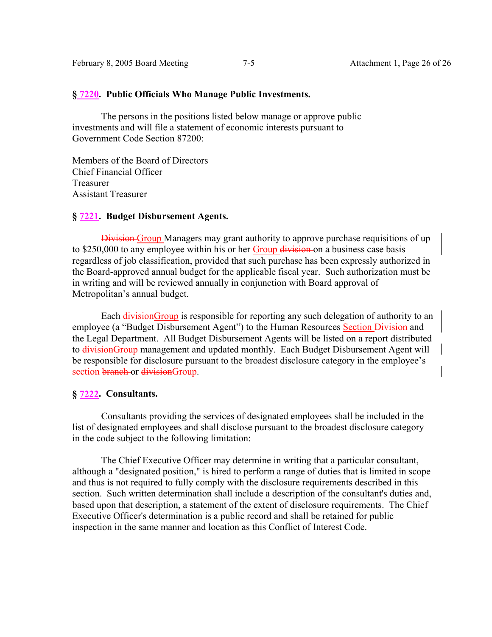#### **§ 7220. Public Officials Who Manage Public Investments.**

 The persons in the positions listed below manage or approve public investments and will file a statement of economic interests pursuant to Government Code Section 87200:

Members of the Board of Directors Chief Financial Officer Treasurer Assistant Treasurer

## **§ 7221. Budget Disbursement Agents.**

Division Group Managers may grant authority to approve purchase requisitions of up to \$250,000 to any employee within his or her Group division on a business case basis regardless of job classification, provided that such purchase has been expressly authorized in the Board-approved annual budget for the applicable fiscal year. Such authorization must be in writing and will be reviewed annually in conjunction with Board approval of Metropolitan's annual budget.

Each division Group is responsible for reporting any such delegation of authority to an employee (a "Budget Disbursement Agent") to the Human Resources Section Division and the Legal Department. All Budget Disbursement Agents will be listed on a report distributed to divisionGroup management and updated monthly. Each Budget Disbursement Agent will be responsible for disclosure pursuant to the broadest disclosure category in the employee's section branch or divisionGroup.

### **§ 7222. Consultants.**

 Consultants providing the services of designated employees shall be included in the list of designated employees and shall disclose pursuant to the broadest disclosure category in the code subject to the following limitation:

 The Chief Executive Officer may determine in writing that a particular consultant, although a "designated position," is hired to perform a range of duties that is limited in scope and thus is not required to fully comply with the disclosure requirements described in this section. Such written determination shall include a description of the consultant's duties and, based upon that description, a statement of the extent of disclosure requirements. The Chief Executive Officer's determination is a public record and shall be retained for public inspection in the same manner and location as this Conflict of Interest Code.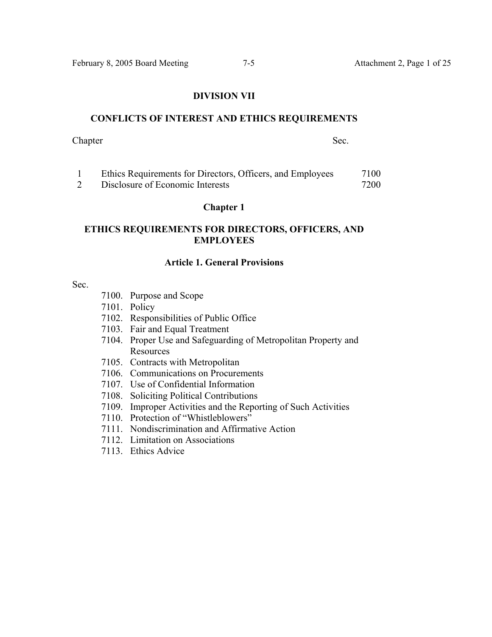#### **DIVISION VII**

### **CONFLICTS OF INTEREST AND ETHICS REQUIREMENTS**

### Chapter Sec.

| Ethics Requirements for Directors, Officers, and Employees | 7100 |
|------------------------------------------------------------|------|
| Disclosure of Economic Interests                           | 7200 |

### **Chapter 1**

# **ETHICS REQUIREMENTS FOR DIRECTORS, OFFICERS, AND EMPLOYEES**

# **Article 1. General Provisions**

## Sec.

- 7100. Purpose and Scope
- 7101. Policy
- 7102. Responsibilities of Public Office
- 7103. Fair and Equal Treatment
- 7104. Proper Use and Safeguarding of Metropolitan Property and **Resources**
- 7105. Contracts with Metropolitan
- 7106. Communications on Procurements
- 7107. Use of Confidential Information
- 7108. Soliciting Political Contributions
- 7109. Improper Activities and the Reporting of Such Activities
- 7110. Protection of "Whistleblowers"
- 7111. Nondiscrimination and Affirmative Action
- 7112. Limitation on Associations
- 7113. Ethics Advice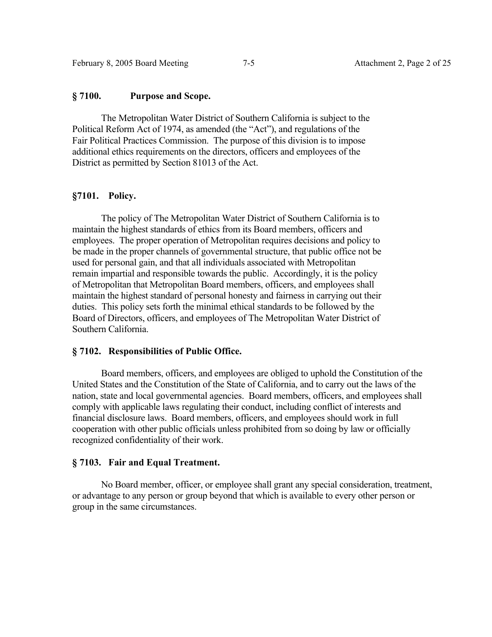# **§ 7100. Purpose and Scope.**

 The Metropolitan Water District of Southern California is subject to the Political Reform Act of 1974, as amended (the "Act"), and regulations of the Fair Political Practices Commission. The purpose of this division is to impose additional ethics requirements on the directors, officers and employees of the District as permitted by Section 81013 of the Act.

# **§7101. Policy.**

 The policy of The Metropolitan Water District of Southern California is to maintain the highest standards of ethics from its Board members, officers and employees. The proper operation of Metropolitan requires decisions and policy to be made in the proper channels of governmental structure, that public office not be used for personal gain, and that all individuals associated with Metropolitan remain impartial and responsible towards the public. Accordingly, it is the policy of Metropolitan that Metropolitan Board members, officers, and employees shall maintain the highest standard of personal honesty and fairness in carrying out their duties. This policy sets forth the minimal ethical standards to be followed by the Board of Directors, officers, and employees of The Metropolitan Water District of Southern California.

## **§ 7102. Responsibilities of Public Office.**

 Board members, officers, and employees are obliged to uphold the Constitution of the United States and the Constitution of the State of California, and to carry out the laws of the nation, state and local governmental agencies. Board members, officers, and employees shall comply with applicable laws regulating their conduct, including conflict of interests and financial disclosure laws. Board members, officers, and employees should work in full cooperation with other public officials unless prohibited from so doing by law or officially recognized confidentiality of their work.

# **§ 7103. Fair and Equal Treatment.**

 No Board member, officer, or employee shall grant any special consideration, treatment, or advantage to any person or group beyond that which is available to every other person or group in the same circumstances.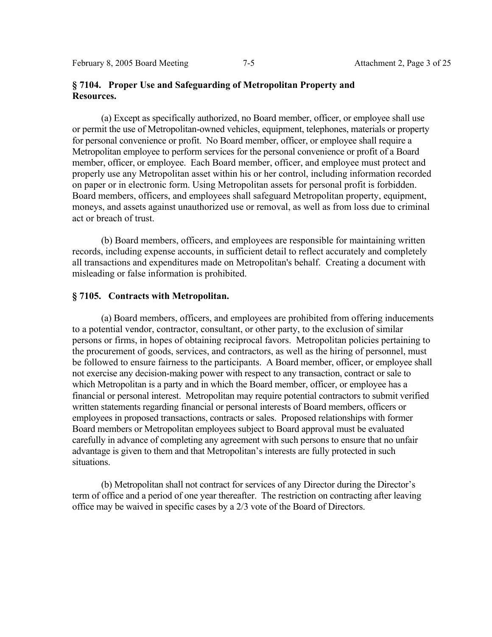# **§ 7104. Proper Use and Safeguarding of Metropolitan Property and Resources.**

 (a) Except as specifically authorized, no Board member, officer, or employee shall use or permit the use of Metropolitan-owned vehicles, equipment, telephones, materials or property for personal convenience or profit. No Board member, officer, or employee shall require a Metropolitan employee to perform services for the personal convenience or profit of a Board member, officer, or employee. Each Board member, officer, and employee must protect and properly use any Metropolitan asset within his or her control, including information recorded on paper or in electronic form. Using Metropolitan assets for personal profit is forbidden. Board members, officers, and employees shall safeguard Metropolitan property, equipment, moneys, and assets against unauthorized use or removal, as well as from loss due to criminal act or breach of trust.

 (b) Board members, officers, and employees are responsible for maintaining written records, including expense accounts, in sufficient detail to reflect accurately and completely all transactions and expenditures made on Metropolitan's behalf. Creating a document with misleading or false information is prohibited.

## **§ 7105. Contracts with Metropolitan.**

 (a) Board members, officers, and employees are prohibited from offering inducements to a potential vendor, contractor, consultant, or other party, to the exclusion of similar persons or firms, in hopes of obtaining reciprocal favors. Metropolitan policies pertaining to the procurement of goods, services, and contractors, as well as the hiring of personnel, must be followed to ensure fairness to the participants. A Board member, officer, or employee shall not exercise any decision-making power with respect to any transaction, contract or sale to which Metropolitan is a party and in which the Board member, officer, or employee has a financial or personal interest. Metropolitan may require potential contractors to submit verified written statements regarding financial or personal interests of Board members, officers or employees in proposed transactions, contracts or sales. Proposed relationships with former Board members or Metropolitan employees subject to Board approval must be evaluated carefully in advance of completing any agreement with such persons to ensure that no unfair advantage is given to them and that Metropolitan's interests are fully protected in such situations.

 (b) Metropolitan shall not contract for services of any Director during the Director's term of office and a period of one year thereafter. The restriction on contracting after leaving office may be waived in specific cases by a 2/3 vote of the Board of Directors.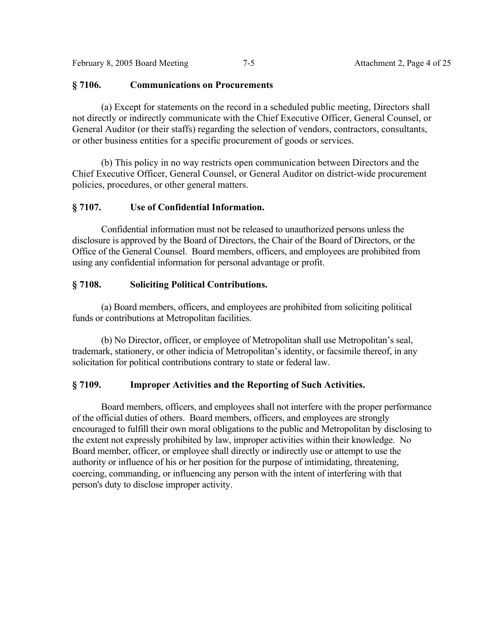February 8, 2005 Board Meeting 7-5 Attachment 2, Page 4 of 25

# **§ 7106. Communications on Procurements**

(a) Except for statements on the record in a scheduled public meeting, Directors shall not directly or indirectly communicate with the Chief Executive Officer, General Counsel, or General Auditor (or their staffs) regarding the selection of vendors, contractors, consultants, or other business entities for a specific procurement of goods or services.

 (b) This policy in no way restricts open communication between Directors and the Chief Executive Officer, General Counsel, or General Auditor on district-wide procurement policies, procedures, or other general matters.

# **§ 7107. Use of Confidential Information.**

 Confidential information must not be released to unauthorized persons unless the disclosure is approved by the Board of Directors, the Chair of the Board of Directors, or the Office of the General Counsel. Board members, officers, and employees are prohibited from using any confidential information for personal advantage or profit.

# **§ 7108. Soliciting Political Contributions.**

 (a) Board members, officers, and employees are prohibited from soliciting political funds or contributions at Metropolitan facilities.

 (b) No Director, officer, or employee of Metropolitan shall use Metropolitan's seal, trademark, stationery, or other indicia of Metropolitan's identity, or facsimile thereof, in any solicitation for political contributions contrary to state or federal law.

# **§ 7109. Improper Activities and the Reporting of Such Activities.**

 Board members, officers, and employees shall not interfere with the proper performance of the official duties of others. Board members, officers, and employees are strongly encouraged to fulfill their own moral obligations to the public and Metropolitan by disclosing to the extent not expressly prohibited by law, improper activities within their knowledge. No Board member, officer, or employee shall directly or indirectly use or attempt to use the authority or influence of his or her position for the purpose of intimidating, threatening, coercing, commanding, or influencing any person with the intent of interfering with that person's duty to disclose improper activity.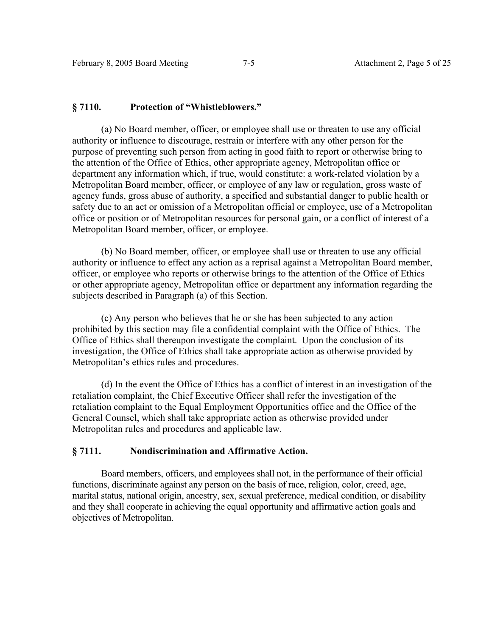## **§ 7110. Protection of "Whistleblowers."**

 (a) No Board member, officer, or employee shall use or threaten to use any official authority or influence to discourage, restrain or interfere with any other person for the purpose of preventing such person from acting in good faith to report or otherwise bring to the attention of the Office of Ethics, other appropriate agency, Metropolitan office or department any information which, if true, would constitute: a work-related violation by a Metropolitan Board member, officer, or employee of any law or regulation, gross waste of agency funds, gross abuse of authority, a specified and substantial danger to public health or safety due to an act or omission of a Metropolitan official or employee, use of a Metropolitan office or position or of Metropolitan resources for personal gain, or a conflict of interest of a Metropolitan Board member, officer, or employee.

 (b) No Board member, officer, or employee shall use or threaten to use any official authority or influence to effect any action as a reprisal against a Metropolitan Board member, officer, or employee who reports or otherwise brings to the attention of the Office of Ethics or other appropriate agency, Metropolitan office or department any information regarding the subjects described in Paragraph (a) of this Section.

 (c) Any person who believes that he or she has been subjected to any action prohibited by this section may file a confidential complaint with the Office of Ethics. The Office of Ethics shall thereupon investigate the complaint. Upon the conclusion of its investigation, the Office of Ethics shall take appropriate action as otherwise provided by Metropolitan's ethics rules and procedures.

 (d) In the event the Office of Ethics has a conflict of interest in an investigation of the retaliation complaint, the Chief Executive Officer shall refer the investigation of the retaliation complaint to the Equal Employment Opportunities office and the Office of the General Counsel, which shall take appropriate action as otherwise provided under Metropolitan rules and procedures and applicable law.

# **§ 7111. Nondiscrimination and Affirmative Action.**

 Board members, officers, and employees shall not, in the performance of their official functions, discriminate against any person on the basis of race, religion, color, creed, age, marital status, national origin, ancestry, sex, sexual preference, medical condition, or disability and they shall cooperate in achieving the equal opportunity and affirmative action goals and objectives of Metropolitan.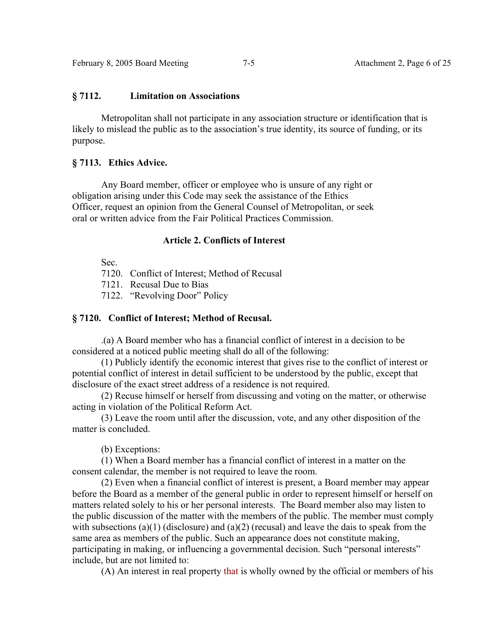### **§ 7112. Limitation on Associations**

 Metropolitan shall not participate in any association structure or identification that is likely to mislead the public as to the association's true identity, its source of funding, or its purpose.

## **§ 7113. Ethics Advice.**

 Any Board member, officer or employee who is unsure of any right or obligation arising under this Code may seek the assistance of the Ethics Officer, request an opinion from the General Counsel of Metropolitan, or seek oral or written advice from the Fair Political Practices Commission.

## **Article 2. Conflicts of Interest**

Sec.

7120. Conflict of Interest; Method of Recusal

7121. Recusal Due to Bias

7122. "Revolving Door" Policy

# **§ 7120. Conflict of Interest; Method of Recusal.**

.(a) A Board member who has a financial conflict of interest in a decision to be considered at a noticed public meeting shall do all of the following:

 (1) Publicly identify the economic interest that gives rise to the conflict of interest or potential conflict of interest in detail sufficient to be understood by the public, except that disclosure of the exact street address of a residence is not required.

 (2) Recuse himself or herself from discussing and voting on the matter, or otherwise acting in violation of the Political Reform Act.

 (3) Leave the room until after the discussion, vote, and any other disposition of the matter is concluded.

(b) Exceptions:

 (1) When a Board member has a financial conflict of interest in a matter on the consent calendar, the member is not required to leave the room.

 (2) Even when a financial conflict of interest is present, a Board member may appear before the Board as a member of the general public in order to represent himself or herself on matters related solely to his or her personal interests. The Board member also may listen to the public discussion of the matter with the members of the public. The member must comply with subsections (a)(1) (disclosure) and (a)(2) (recusal) and leave the dais to speak from the same area as members of the public. Such an appearance does not constitute making, participating in making, or influencing a governmental decision. Such "personal interests" include, but are not limited to:

(A) An interest in real property that is wholly owned by the official or members of his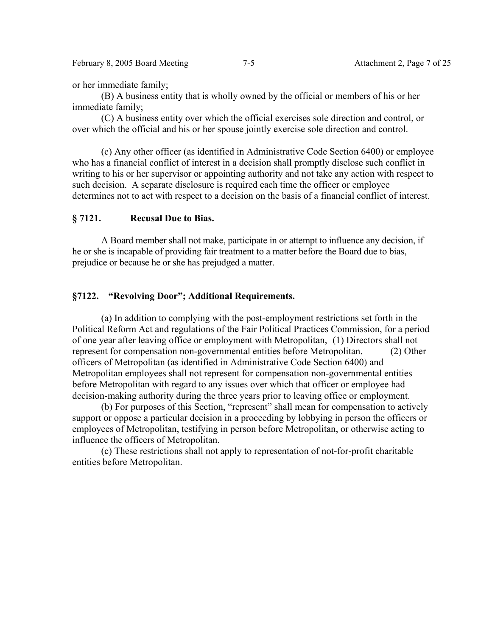February 8, 2005 Board Meeting 7-5 Attachment 2, Page 7 of 25

or her immediate family;

 (B) A business entity that is wholly owned by the official or members of his or her immediate family;

 (C) A business entity over which the official exercises sole direction and control, or over which the official and his or her spouse jointly exercise sole direction and control.

 (c) Any other officer (as identified in Administrative Code Section 6400) or employee who has a financial conflict of interest in a decision shall promptly disclose such conflict in writing to his or her supervisor or appointing authority and not take any action with respect to such decision. A separate disclosure is required each time the officer or employee determines not to act with respect to a decision on the basis of a financial conflict of interest.

# **§ 7121. Recusal Due to Bias.**

 A Board member shall not make, participate in or attempt to influence any decision, if he or she is incapable of providing fair treatment to a matter before the Board due to bias, prejudice or because he or she has prejudged a matter.

# **§7122. "Revolving Door"; Additional Requirements.**

 (a) In addition to complying with the post-employment restrictions set forth in the Political Reform Act and regulations of the Fair Political Practices Commission, for a period of one year after leaving office or employment with Metropolitan, (1) Directors shall not represent for compensation non-governmental entities before Metropolitan. (2) Other officers of Metropolitan (as identified in Administrative Code Section 6400) and Metropolitan employees shall not represent for compensation non-governmental entities before Metropolitan with regard to any issues over which that officer or employee had decision-making authority during the three years prior to leaving office or employment.

 (b) For purposes of this Section, "represent" shall mean for compensation to actively support or oppose a particular decision in a proceeding by lobbying in person the officers or employees of Metropolitan, testifying in person before Metropolitan, or otherwise acting to influence the officers of Metropolitan.

 (c) These restrictions shall not apply to representation of not-for-profit charitable entities before Metropolitan.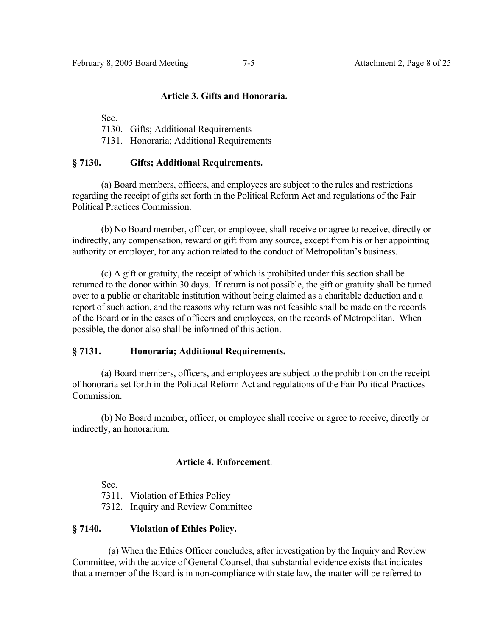### **Article 3. Gifts and Honoraria.**

Sec.

7130. Gifts; Additional Requirements

7131. Honoraria; Additional Requirements

## **§ 7130. Gifts; Additional Requirements.**

 (a) Board members, officers, and employees are subject to the rules and restrictions regarding the receipt of gifts set forth in the Political Reform Act and regulations of the Fair Political Practices Commission.

 (b) No Board member, officer, or employee, shall receive or agree to receive, directly or indirectly, any compensation, reward or gift from any source, except from his or her appointing authority or employer, for any action related to the conduct of Metropolitan's business.

 (c) A gift or gratuity, the receipt of which is prohibited under this section shall be returned to the donor within 30 days. If return is not possible, the gift or gratuity shall be turned over to a public or charitable institution without being claimed as a charitable deduction and a report of such action, and the reasons why return was not feasible shall be made on the records of the Board or in the cases of officers and employees, on the records of Metropolitan. When possible, the donor also shall be informed of this action.

## **§ 7131. Honoraria; Additional Requirements.**

 (a) Board members, officers, and employees are subject to the prohibition on the receipt of honoraria set forth in the Political Reform Act and regulations of the Fair Political Practices **Commission** 

 (b) No Board member, officer, or employee shall receive or agree to receive, directly or indirectly, an honorarium.

## **Article 4. Enforcement**.

Sec.

7311. Violation of Ethics Policy

7312. Inquiry and Review Committee

# **§ 7140. Violation of Ethics Policy.**

 (a) When the Ethics Officer concludes, after investigation by the Inquiry and Review Committee, with the advice of General Counsel, that substantial evidence exists that indicates that a member of the Board is in non-compliance with state law, the matter will be referred to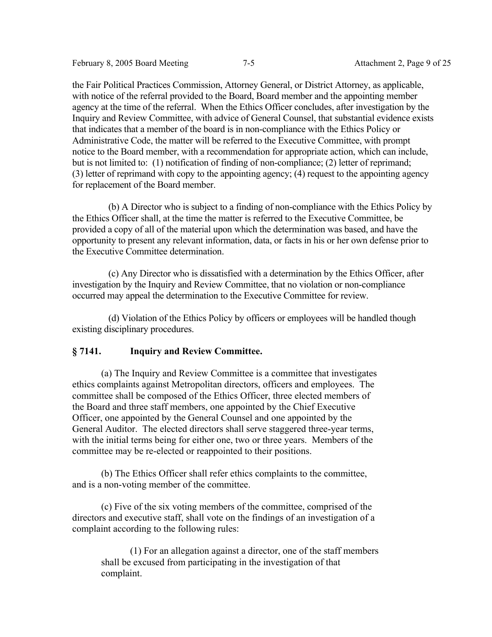February 8, 2005 Board Meeting 7-5 Attachment 2, Page 9 of 25

the Fair Political Practices Commission, Attorney General, or District Attorney, as applicable, with notice of the referral provided to the Board, Board member and the appointing member agency at the time of the referral. When the Ethics Officer concludes, after investigation by the Inquiry and Review Committee, with advice of General Counsel, that substantial evidence exists that indicates that a member of the board is in non-compliance with the Ethics Policy or Administrative Code, the matter will be referred to the Executive Committee, with prompt notice to the Board member, with a recommendation for appropriate action, which can include, but is not limited to: (1) notification of finding of non-compliance; (2) letter of reprimand; (3) letter of reprimand with copy to the appointing agency; (4) request to the appointing agency for replacement of the Board member.

 (b) A Director who is subject to a finding of non-compliance with the Ethics Policy by the Ethics Officer shall, at the time the matter is referred to the Executive Committee, be provided a copy of all of the material upon which the determination was based, and have the opportunity to present any relevant information, data, or facts in his or her own defense prior to the Executive Committee determination.

 (c) Any Director who is dissatisfied with a determination by the Ethics Officer, after investigation by the Inquiry and Review Committee, that no violation or non-compliance occurred may appeal the determination to the Executive Committee for review.

 (d) Violation of the Ethics Policy by officers or employees will be handled though existing disciplinary procedures.

# **§ 7141. Inquiry and Review Committee.**

 (a) The Inquiry and Review Committee is a committee that investigates ethics complaints against Metropolitan directors, officers and employees. The committee shall be composed of the Ethics Officer, three elected members of the Board and three staff members, one appointed by the Chief Executive Officer, one appointed by the General Counsel and one appointed by the General Auditor. The elected directors shall serve staggered three-year terms, with the initial terms being for either one, two or three years. Members of the committee may be re-elected or reappointed to their positions.

 (b) The Ethics Officer shall refer ethics complaints to the committee, and is a non-voting member of the committee.

 (c) Five of the six voting members of the committee, comprised of the directors and executive staff, shall vote on the findings of an investigation of a complaint according to the following rules:

 (1) For an allegation against a director, one of the staff members shall be excused from participating in the investigation of that complaint.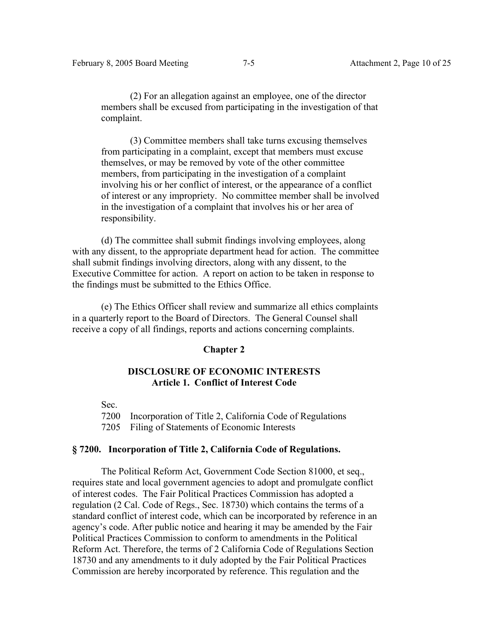(2) For an allegation against an employee, one of the director members shall be excused from participating in the investigation of that complaint.

 (3) Committee members shall take turns excusing themselves from participating in a complaint, except that members must excuse themselves, or may be removed by vote of the other committee members, from participating in the investigation of a complaint involving his or her conflict of interest, or the appearance of a conflict of interest or any impropriety. No committee member shall be involved in the investigation of a complaint that involves his or her area of responsibility.

 (d) The committee shall submit findings involving employees, along with any dissent, to the appropriate department head for action. The committee shall submit findings involving directors, along with any dissent, to the Executive Committee for action. A report on action to be taken in response to the findings must be submitted to the Ethics Office.

 (e) The Ethics Officer shall review and summarize all ethics complaints in a quarterly report to the Board of Directors. The General Counsel shall receive a copy of all findings, reports and actions concerning complaints.

#### **Chapter 2**

# **DISCLOSURE OF ECONOMIC INTERESTS Article 1. Conflict of Interest Code**

Sec.

7200 Incorporation of Title 2, California Code of Regulations

7205 Filing of Statements of Economic Interests

# **§ 7200. Incorporation of Title 2, California Code of Regulations.**

 The Political Reform Act, Government Code Section 81000, et seq., requires state and local government agencies to adopt and promulgate conflict of interest codes. The Fair Political Practices Commission has adopted a regulation (2 Cal. Code of Regs., Sec. 18730) which contains the terms of a standard conflict of interest code, which can be incorporated by reference in an agency's code. After public notice and hearing it may be amended by the Fair Political Practices Commission to conform to amendments in the Political Reform Act. Therefore, the terms of 2 California Code of Regulations Section 18730 and any amendments to it duly adopted by the Fair Political Practices Commission are hereby incorporated by reference. This regulation and the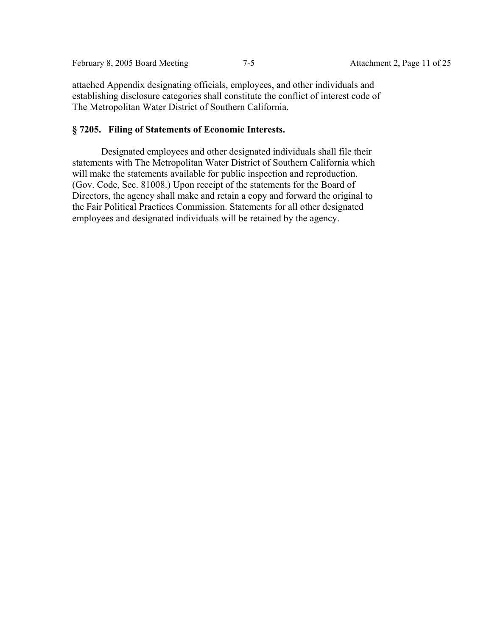attached Appendix designating officials, employees, and other individuals and establishing disclosure categories shall constitute the conflict of interest code of The Metropolitan Water District of Southern California.

## **§ 7205. Filing of Statements of Economic Interests.**

 Designated employees and other designated individuals shall file their statements with The Metropolitan Water District of Southern California which will make the statements available for public inspection and reproduction. (Gov. Code, Sec. 81008.) Upon receipt of the statements for the Board of Directors, the agency shall make and retain a copy and forward the original to the Fair Political Practices Commission. Statements for all other designated employees and designated individuals will be retained by the agency.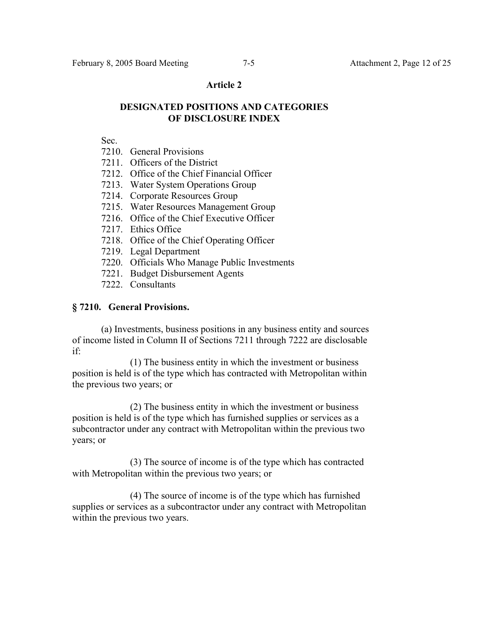### **Article 2**

# **DESIGNATED POSITIONS AND CATEGORIES OF DISCLOSURE INDEX**

Sec.

- 7210. General Provisions
- 7211. Officers of the District
- 7212. Office of the Chief Financial Officer
- 7213. Water System Operations Group
- 7214. Corporate Resources Group
- 7215. Water Resources Management Group
- 7216. Office of the Chief Executive Officer
- 7217. Ethics Office
- 7218. Office of the Chief Operating Officer
- 7219. Legal Department
- 7220. Officials Who Manage Public Investments
- 7221. Budget Disbursement Agents
- 7222. Consultants

## **§ 7210. General Provisions.**

 (a) Investments, business positions in any business entity and sources of income listed in Column II of Sections 7211 through 7222 are disclosable if:

 (1) The business entity in which the investment or business position is held is of the type which has contracted with Metropolitan within the previous two years; or

 (2) The business entity in which the investment or business position is held is of the type which has furnished supplies or services as a subcontractor under any contract with Metropolitan within the previous two years; or

 (3) The source of income is of the type which has contracted with Metropolitan within the previous two years; or

 (4) The source of income is of the type which has furnished supplies or services as a subcontractor under any contract with Metropolitan within the previous two years.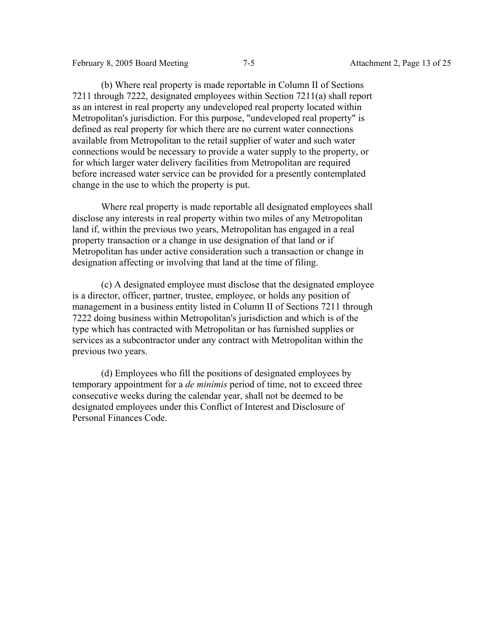(b) Where real property is made reportable in Column II of Sections 7211 through 7222, designated employees within Section 7211(a) shall report as an interest in real property any undeveloped real property located within Metropolitan's jurisdiction. For this purpose, "undeveloped real property" is defined as real property for which there are no current water connections available from Metropolitan to the retail supplier of water and such water connections would be necessary to provide a water supply to the property, or for which larger water delivery facilities from Metropolitan are required before increased water service can be provided for a presently contemplated change in the use to which the property is put.

 Where real property is made reportable all designated employees shall disclose any interests in real property within two miles of any Metropolitan land if, within the previous two years, Metropolitan has engaged in a real property transaction or a change in use designation of that land or if Metropolitan has under active consideration such a transaction or change in designation affecting or involving that land at the time of filing.

 (c) A designated employee must disclose that the designated employee is a director, officer, partner, trustee, employee, or holds any position of management in a business entity listed in Column II of Sections 7211 through 7222 doing business within Metropolitan's jurisdiction and which is of the type which has contracted with Metropolitan or has furnished supplies or services as a subcontractor under any contract with Metropolitan within the previous two years.

 (d) Employees who fill the positions of designated employees by temporary appointment for a *de minimis* period of time, not to exceed three consecutive weeks during the calendar year, shall not be deemed to be designated employees under this Conflict of Interest and Disclosure of Personal Finances Code.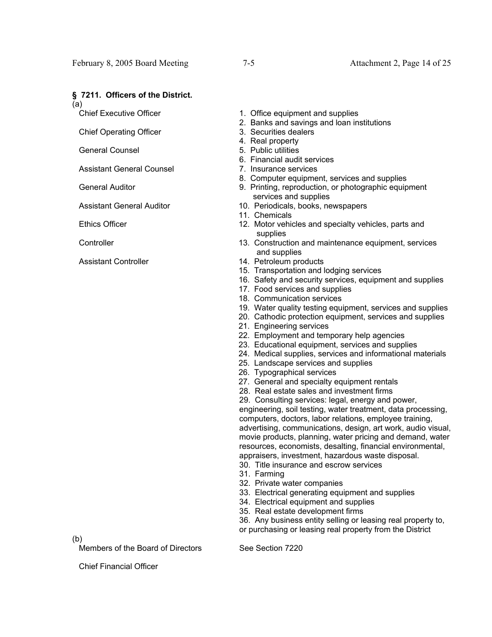#### **§ 7211. Officers of the District.**

(a)

Chief Executive Officer

Chief Operating Officer

General Counsel

Assistant General Counsel

General Auditor

Assistant General Auditor

Ethics Officer

**Controller** 

Assistant Controller

1. Office equipment and supplies

- 2. Banks and savings and loan institutions
- 3. Securities dealers
- 4. Real property
- 5. Public utilities
- 6. Financial audit services
- 7. Insurance services
- 8. Computer equipment, services and supplies
- 9. Printing, reproduction, or photographic equipment services and supplies
- 10. Periodicals, books, newspapers
- 11. Chemicals
- 12. Motor vehicles and specialty vehicles, parts and supplies
- 13. Construction and maintenance equipment, services and supplies
- 14. Petroleum products
- 15. Transportation and lodging services
- 16. Safety and security services, equipment and supplies
- 17. Food services and supplies
- 18. Communication services
- 19. Water quality testing equipment, services and supplies
- 20. Cathodic protection equipment, services and supplies
- 21. Engineering services
- 22. Employment and temporary help agencies
- 23. Educational equipment, services and supplies
- 24. Medical supplies, services and informational materials
- 25. Landscape services and supplies
- 26. Typographical services
- 27. General and specialty equipment rentals
- 28. Real estate sales and investment firms
- 29. Consulting services: legal, energy and power,

engineering, soil testing, water treatment, data processing, computers, doctors, labor relations, employee training, advertising, communications, design, art work, audio visual, movie products, planning, water pricing and demand, water resources, economists, desalting, financial environmental, appraisers, investment, hazardous waste disposal.

30. Title insurance and escrow services

- 31. Farming
- 32. Private water companies
- 33. Electrical generating equipment and supplies
- 34. Electrical equipment and supplies
- 35. Real estate development firms

36. Any business entity selling or leasing real property to, or purchasing or leasing real property from the District

(b)

Members of the Board of Directors See Section 7220

Chief Financial Officer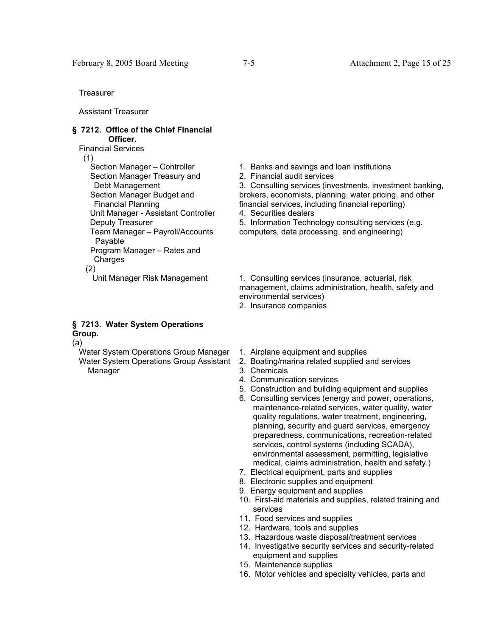**Treasurer** 

Assistant Treasurer

#### **§ 7212. Office of the Chief Financial Officer.**

Financial Services

(1)

 Section Manager – Controller Section Manager Treasury and Debt Management Section Manager Budget and Financial Planning Unit Manager - Assistant Controller Deputy Treasurer Team Manager – Payroll/Accounts Payable Program Manager – Rates and Charges (2)

# **§ 7213. Water System Operations Group.**

(a)

 Water System Operations Group Manager Water System Operations Group Assistant Manager

- 1. Banks and savings and loan institutions
- 2. Financial audit services

3. Consulting services (investments, investment banking, brokers, economists, planning, water pricing, and other financial services, including financial reporting)

4. Securities dealers

5. Information Technology consulting services (e.g. computers, data processing, and engineering)

Unit Manager Risk Management 1. Consulting services (insurance, actuarial, risk management, claims administration, health, safety and environmental services)

- 2. Insurance companies
- 1. Airplane equipment and supplies
- 2. Boating/marina related supplied and services
- 3. Chemicals
- 4. Communication services
- 5. Construction and building equipment and supplies
- 6. Consulting services (energy and power, operations, maintenance-related services, water quality, water quality regulations, water treatment, engineering, planning, security and guard services, emergency preparedness, communications, recreation-related services, control systems (including SCADA), environmental assessment, permitting, legislative medical, claims administration, health and safety.)
- 7. Electrical equipment, parts and supplies
- 8. Electronic supplies and equipment
- 9. Energy equipment and supplies
- 10. First-aid materials and supplies, related training and services
- 11. Food services and supplies
- 12. Hardware, tools and supplies
- 13. Hazardous waste disposal/treatment services
- 14. Investigative security services and security-related equipment and supplies
- 15. Maintenance supplies
- 16. Motor vehicles and specialty vehicles, parts and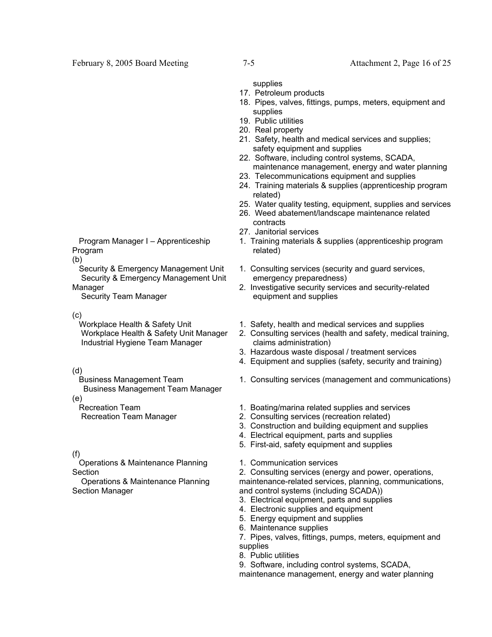supplies

- 17. Petroleum products
- 18. Pipes, valves, fittings, pumps, meters, equipment and supplies
- 19. Public utilities
- 20. Real property
- 21. Safety, health and medical services and supplies; safety equipment and supplies
- 22. Software, including control systems, SCADA, maintenance management, energy and water planning
- 23. Telecommunications equipment and supplies
- 24. Training materials & supplies (apprenticeship program related)
- 25. Water quality testing, equipment, supplies and services
- 26. Weed abatement/landscape maintenance related contracts
- 27. Janitorial services
- 1. Training materials & supplies (apprenticeship program related)
- 1. Consulting services (security and guard services, emergency preparedness)
- 2. Investigative security services and security-related equipment and supplies
- 1. Safety, health and medical services and supplies
- 2. Consulting services (health and safety, medical training, claims administration)
- 3. Hazardous waste disposal / treatment services
- 4. Equipment and supplies (safety, security and training)
- 1. Consulting services (management and communications)
- 1. Boating/marina related supplies and services
- 2. Consulting services (recreation related)
- 3. Construction and building equipment and supplies
- 4. Electrical equipment, parts and supplies
- 5. First-aid, safety equipment and supplies
- 1. Communication services

2. Consulting services (energy and power, operations, maintenance-related services, planning, communications, and control systems (including SCADA))

- 3. Electrical equipment, parts and supplies
- 4. Electronic supplies and equipment
- 5. Energy equipment and supplies
- 6. Maintenance supplies
- 7. Pipes, valves, fittings, pumps, meters, equipment and supplies
- 8. Public utilities
- 9. Software, including control systems, SCADA,

maintenance management, energy and water planning

 Program Manager I – Apprenticeship Program

(b)

 Security & Emergency Management Unit Security & Emergency Management Unit Manager

Security Team Manager

(c)

 Workplace Health & Safety Unit Workplace Health & Safety Unit Manager Industrial Hygiene Team Manager

(d)

 Business Management Team Business Management Team Manager (e)

Recreation Team

Recreation Team Manager

## (f)

 Operations & Maintenance Planning Section

 Operations & Maintenance Planning Section Manager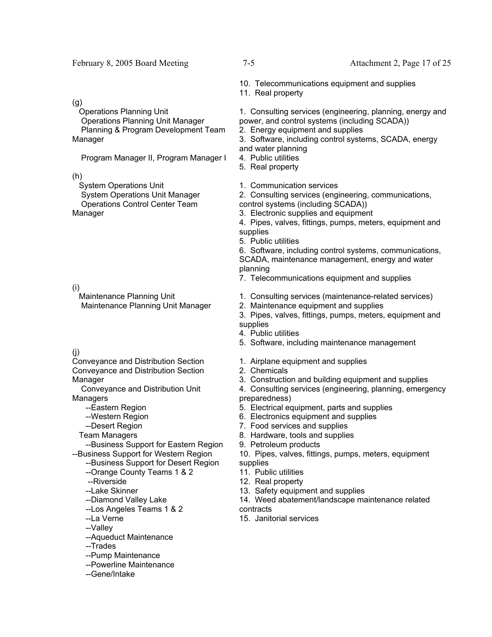#### February 8, 2005 Board Meeting 7-5 Attachment 2, Page 17 of 25

10. Telecommunications equipment and supplies

11. Real property

1. Consulting services (engineering, planning, energy and power, and control systems (including SCADA))

2. Energy equipment and supplies

3. Software, including control systems, SCADA, energy and water planning

- 4. Public utilities
- 5. Real property
- 1. Communication services

2. Consulting services (engineering, communications, control systems (including SCADA))

- 3. Electronic supplies and equipment
- 4. Pipes, valves, fittings, pumps, meters, equipment and supplies
- 5. Public utilities

6. Software, including control systems, communications, SCADA, maintenance management, energy and water planning

- 7. Telecommunications equipment and supplies
- 1. Consulting services (maintenance-related services)
- 2. Maintenance equipment and supplies
- 3. Pipes, valves, fittings, pumps, meters, equipment and supplies
- 4. Public utilities
- 5. Software, including maintenance management
- 1. Airplane equipment and supplies
- 2. Chemicals
- 3. Construction and building equipment and supplies
- 4. Consulting services (engineering, planning, emergency preparedness)
- 5. Electrical equipment, parts and supplies
- 6. Electronics equipment and supplies
- 7. Food services and supplies
- 8. Hardware, tools and supplies
- 9. Petroleum products
- 10. Pipes, valves, fittings, pumps, meters, equipment supplies
- 11. Public utilities
- 12. Real property
- 13. Safety equipment and supplies
- 14. Weed abatement/landscape maintenance related contracts
- 15. Janitorial services

(g)

 Operations Planning Unit Operations Planning Unit Manager Planning & Program Development Team Manager

Program Manager II, Program Manager I

(h)

 System Operations Unit System Operations Unit Manager Operations Control Center Team Manager

(i)

 Maintenance Planning Unit Maintenance Planning Unit Manager

#### (j)

Conveyance and Distribution Section Conveyance and Distribution Section Manager

 Conveyance and Distribution Unit Managers

--Eastern Region

--Western Region

- --Desert Region
- Team Managers

 --Business Support for Eastern Region --Business Support for Western Region

--Business Support for Desert Region

- --Orange County Teams 1 & 2
- --Riverside
- --Lake Skinner
- --Diamond Valley Lake
- --Los Angeles Teams 1 & 2
- --La Verne
- --Valley
- --Aqueduct Maintenance
- --Trades
- --Pump Maintenance
- --Powerline Maintenance
- --Gene/Intake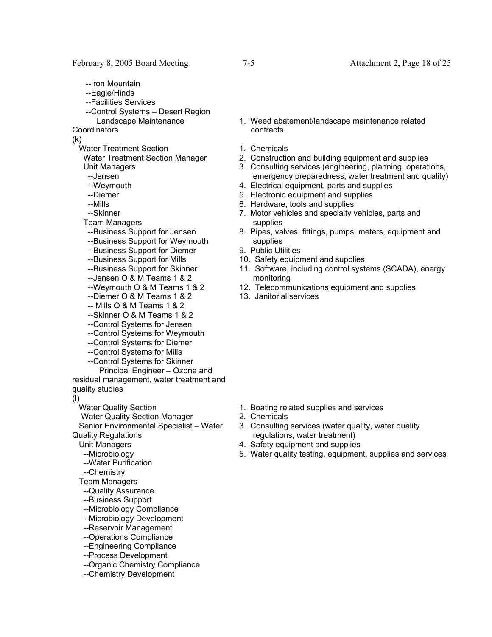- --Iron Mountain
- --Eagle/Hinds
- --Facilities Services
- --Control Systems Desert Region Landscape Maintenance

**Coordinators** 

(k)

- Water Treatment Section
- Water Treatment Section Manager Unit Managers

--Jensen

- --Weymouth
- --Diemer
- --Mills
- --Skinner
- Team Managers
- --Business Support for Jensen
- --Business Support for Weymouth
- --Business Support for Diemer
- --Business Support for Mills
- --Business Support for Skinner
- --Jensen O & M Teams 1 & 2
- --Weymouth O & M Teams 1 & 2
- --Diemer O & M Teams 1 & 2
- -- Mills O & M Teams 1 & 2
- --Skinner O & M Teams 1 & 2
- --Control Systems for Jensen
- --Control Systems for Weymouth
- --Control Systems for Diemer
- --Control Systems for Mills
- --Control Systems for Skinner
- Principal Engineer Ozone and residual management, water treatment and quality studies
- (l)

Water Quality Section

Water Quality Section Manager

 Senior Environmental Specialist – Water Quality Regulations

Unit Managers

- --Microbiology
- --Water Purification
- --Chemistry
- Team Managers
- --Quality Assurance
- --Business Support
- --Microbiology Compliance
- --Microbiology Development
- --Reservoir Management
- --Operations Compliance
- --Engineering Compliance
- --Process Development
- --Organic Chemistry Compliance
- --Chemistry Development
- 1. Weed abatement/landscape maintenance related contracts
- 1. Chemicals
- 2. Construction and building equipment and supplies
- 3. Consulting services (engineering, planning, operations, emergency preparedness, water treatment and quality)
- 4. Electrical equipment, parts and supplies
- 5. Electronic equipment and supplies
- 6. Hardware, tools and supplies
- 7. Motor vehicles and specialty vehicles, parts and supplies
- 8. Pipes, valves, fittings, pumps, meters, equipment and supplies
- 9. Public Utilities
- 10. Safety equipment and supplies
- 11. Software, including control systems (SCADA), energy monitoring
- 12. Telecommunications equipment and supplies
- 13. Janitorial services

- 1. Boating related supplies and services
- 2. Chemicals
- 3. Consulting services (water quality, water quality regulations, water treatment)
- 4. Safety equipment and supplies
- 5. Water quality testing, equipment, supplies and services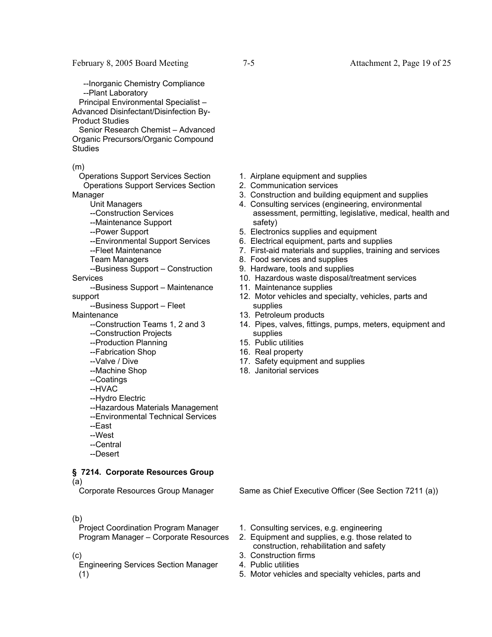--Inorganic Chemistry Compliance --Plant Laboratory

 Principal Environmental Specialist – Advanced Disinfectant/Disinfection By-

Product Studies

 Senior Research Chemist – Advanced Organic Precursors/Organic Compound **Studies** 

(m)

 Operations Support Services Section Operations Support Services Section Manager

Unit Managers

- --Construction Services
- --Maintenance Support
- --Power Support
- --Environmental Support Services
- --Fleet Maintenance

Team Managers

- --Business Support Construction **Services**
- --Business Support Maintenance support

--Business Support – Fleet

**Maintenance** 

- --Construction Teams 1, 2 and 3
- --Construction Projects
- --Production Planning
- --Fabrication Shop
- --Valve / Dive
- --Machine Shop
- --Coatings
- --HVAC
- --Hydro Electric
- --Hazardous Materials Management
- --Environmental Technical Services
- --East
- --West
- --Central
- --Desert

# **§ 7214. Corporate Resources Group**

(a)

#### (b)

 Project Coordination Program Manager Program Manager – Corporate Resources

(c)

 Engineering Services Section Manager (1)

- 1. Airplane equipment and supplies
- 2. Communication services
- 3. Construction and building equipment and supplies
- 4. Consulting services (engineering, environmental assessment, permitting, legislative, medical, health and safety)
- 5. Electronics supplies and equipment
- 6. Electrical equipment, parts and supplies
- 7. First-aid materials and supplies, training and services
- 8. Food services and supplies
- 9. Hardware, tools and supplies
- 10. Hazardous waste disposal/treatment services
- 11. Maintenance supplies
- 12. Motor vehicles and specialty, vehicles, parts and supplies
- 13. Petroleum products
- 14. Pipes, valves, fittings, pumps, meters, equipment and supplies
- 15. Public utilities
- 16. Real property
- 17. Safety equipment and supplies
- 18. Janitorial services

Corporate Resources Group Manager Same as Chief Executive Officer (See Section 7211 (a))

- 1. Consulting services, e.g. engineering
- 2. Equipment and supplies, e.g. those related to construction, rehabilitation and safety
- 3. Construction firms
- 4. Public utilities
- 5. Motor vehicles and specialty vehicles, parts and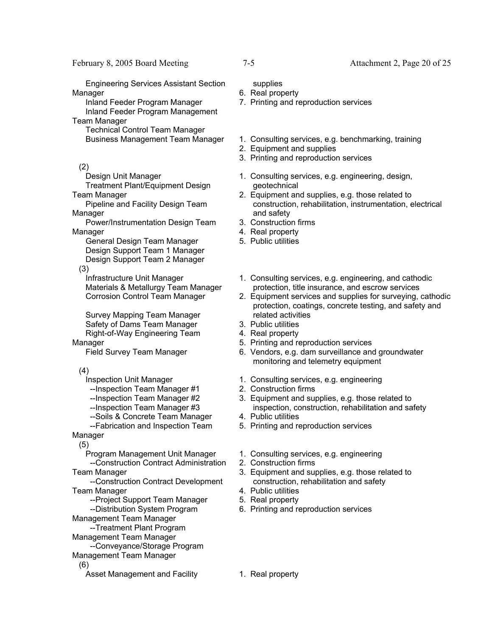Engineering Services Assistant Section Manager

 Inland Feeder Program Manager Inland Feeder Program Management

Team Manager Technical Control Team Manager

(2)

Design Unit Manager

 Treatment Plant/Equipment Design Team Manager

 Pipeline and Facility Design Team Manager

 Power/Instrumentation Design Team **Manager** 

 General Design Team Manager Design Support Team 1 Manager Design Support Team 2 Manager

(3)

 Infrastructure Unit Manager Materials & Metallurgy Team Manager Corrosion Control Team Manager

 Survey Mapping Team Manager Safety of Dams Team Manager Right-of-Way Engineering Team Manager

Field Survey Team Manager

(4)

Inspection Unit Manager

--Inspection Team Manager #1

--Inspection Team Manager #2

--Inspection Team Manager #3

--Soils & Concrete Team Manager

 --Fabrication and Inspection Team Manager

(5)

 Program Management Unit Manager --Construction Contract Administration

Team Manager

 --Construction Contract Development Team Manager

--Project Support Team Manager

--Distribution System Program

Management Team Manager

--Treatment Plant Program

Management Team Manager

 --Conveyance/Storage Program Management Team Manager

(6)

Asset Management and Facility 1. Real property

supplies

- 6. Real property
- 7. Printing and reproduction services
- Business Management Team Manager 1. Consulting services, e.g. benchmarking, training
	- 2. Equipment and supplies
	- 3. Printing and reproduction services
	- 1. Consulting services, e.g. engineering, design, geotechnical
	- 2. Equipment and supplies, e.g. those related to construction, rehabilitation, instrumentation, electrical and safety
	- 3. Construction firms
	- 4. Real property
	- 5. Public utilities
	- 1. Consulting services, e.g. engineering, and cathodic protection, title insurance, and escrow services
	- 2. Equipment services and supplies for surveying, cathodic protection, coatings, concrete testing, and safety and related activities
	- 3. Public utilities
	- 4. Real property
	- 5. Printing and reproduction services
	- 6. Vendors, e.g. dam surveillance and groundwater monitoring and telemetry equipment
	- 1. Consulting services, e.g. engineering
	- 2. Construction firms
	- 3. Equipment and supplies, e.g. those related to inspection, construction, rehabilitation and safety
	- 4. Public utilities
	- 5. Printing and reproduction services
	- 1. Consulting services, e.g. engineering
	- 2. Construction firms
	- 3. Equipment and supplies, e.g. those related to construction, rehabilitation and safety
	- 4. Public utilities
	- 5. Real property
	- 6. Printing and reproduction services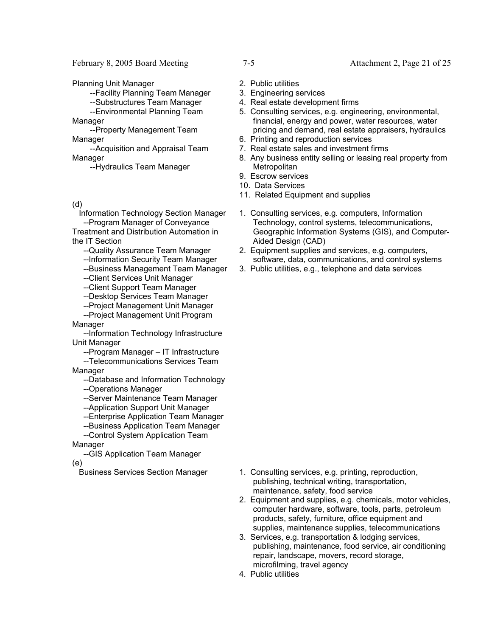February 8, 2005 Board Meeting 7-5 Attachment 2, Page 21 of 25

Planning Unit Manager

--Facility Planning Team Manager

--Substructures Team Manager

 --Environmental Planning Team **Manager** 

 --Property Management Team Manager

 --Acquisition and Appraisal Team Manager

--Hydraulics Team Manager

(d)

 Information Technology Section Manager --Program Manager of Conveyance Treatment and Distribution Automation in

the IT Section

- --Quality Assurance Team Manager
- --Information Security Team Manager
- --Business Management Team Manager
- --Client Services Unit Manager
- --Client Support Team Manager
- --Desktop Services Team Manager
- --Project Management Unit Manager --Project Management Unit Program
- Manager

 --Information Technology Infrastructure Unit Manager

--Program Manager – IT Infrastructure

 --Telecommunications Services Team Manager

--Database and Information Technology

- --Operations Manager
- --Server Maintenance Team Manager
- --Application Support Unit Manager
- --Enterprise Application Team Manager
- --Business Application Team Manager

--Control System Application Team

Manager

 --GIS Application Team Manager (e)

- 
- 2. Public utilities
- 3. Engineering services
- 4. Real estate development firms
- 5. Consulting services, e.g. engineering, environmental, financial, energy and power, water resources, water pricing and demand, real estate appraisers, hydraulics
- 6. Printing and reproduction services
- 7. Real estate sales and investment firms
- 8. Any business entity selling or leasing real property from **Metropolitan**
- 9. Escrow services
- 10. Data Services
- 11. Related Equipment and supplies
- 1. Consulting services, e.g. computers, Information Technology, control systems, telecommunications, Geographic Information Systems (GIS), and Computer-Aided Design (CAD)
- 2. Equipment supplies and services, e.g. computers, software, data, communications, and control systems
- 3. Public utilities, e.g., telephone and data services

- Business Services Section Manager 1. Consulting services, e.g. printing, reproduction, publishing, technical writing, transportation, maintenance, safety, food service
	- 2. Equipment and supplies, e.g. chemicals, motor vehicles, computer hardware, software, tools, parts, petroleum products, safety, furniture, office equipment and supplies, maintenance supplies, telecommunications
	- 3. Services, e.g. transportation & lodging services, publishing, maintenance, food service, air conditioning repair, landscape, movers, record storage, microfilming, travel agency
	- 4. Public utilities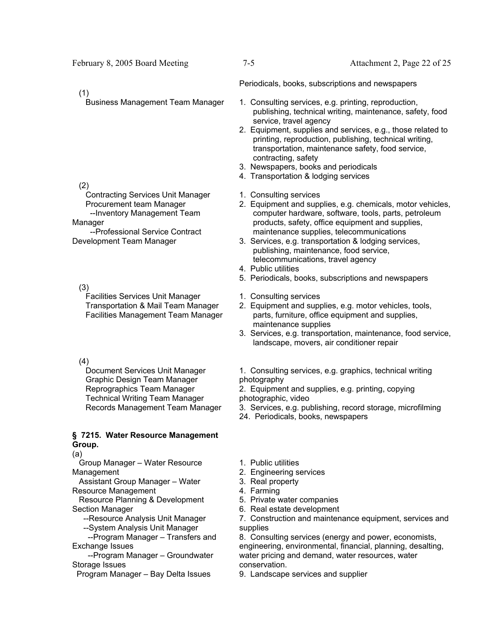# (1)

# (2)

 Contracting Services Unit Manager Procurement team Manager --Inventory Management Team

Manager --Professional Service Contract Development Team Manager

 (3) Facilities Services Unit Manager Transportation & Mail Team Manager Facilities Management Team Manager

# (4)

 Document Services Unit Manager Graphic Design Team Manager Reprographics Team Manager Technical Writing Team Manager Records Management Team Manager

# **§ 7215. Water Resource Management Group.**

(a)

 Group Manager – Water Resource Management

 Assistant Group Manager – Water Resource Management

 Resource Planning & Development Section Manager

--Resource Analysis Unit Manager

--System Analysis Unit Manager

 --Program Manager – Transfers and Exchange Issues

 --Program Manager – Groundwater Storage Issues

Program Manager – Bay Delta Issues

Periodicals, books, subscriptions and newspapers

- Business Management Team Manager 1. Consulting services, e.g. printing, reproduction, publishing, technical writing, maintenance, safety, food service, travel agency
	- 2. Equipment, supplies and services, e.g., those related to printing, reproduction, publishing, technical writing, transportation, maintenance safety, food service, contracting, safety
	- 3. Newspapers, books and periodicals
	- 4. Transportation & lodging services
	- 1. Consulting services
	- 2. Equipment and supplies, e.g. chemicals, motor vehicles, computer hardware, software, tools, parts, petroleum products, safety, office equipment and supplies, maintenance supplies, telecommunications
	- 3. Services, e.g. transportation & lodging services, publishing, maintenance, food service, telecommunications, travel agency
	- 4. Public utilities
	- 5. Periodicals, books, subscriptions and newspapers
	- 1. Consulting services
	- 2. Equipment and supplies, e.g. motor vehicles, tools, parts, furniture, office equipment and supplies, maintenance supplies
	- 3. Services, e.g. transportation, maintenance, food service, landscape, movers, air conditioner repair
	- 1. Consulting services, e.g. graphics, technical writing photography
	- 2. Equipment and supplies, e.g. printing, copying photographic, video
	- 3. Services, e.g. publishing, record storage, microfilming
	- 24. Periodicals, books, newspapers
	- 1. Public utilities
	- 2. Engineering services
	- 3. Real property
	- 4. Farming
	- 5. Private water companies
	- 6. Real estate development

7. Construction and maintenance equipment, services and supplies

8. Consulting services (energy and power, economists, engineering, environmental, financial, planning, desalting, water pricing and demand, water resources, water conservation.

9. Landscape services and supplier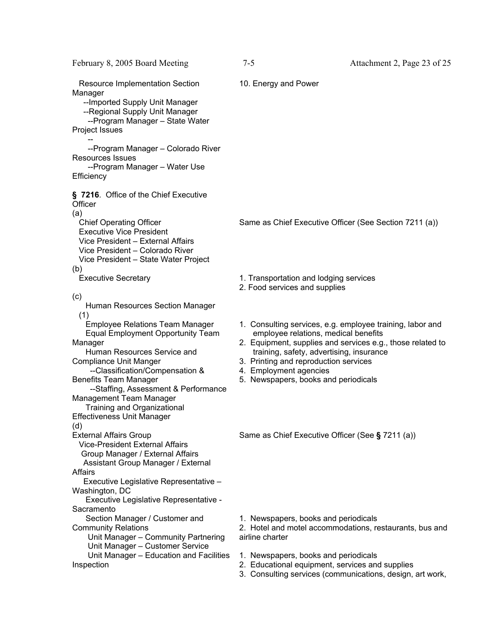| February 8, 2005 Board Meeting                                                                                                                                                                                                                                                                                                                                                                                           | 7-5                                                                                                                                                                                         | Attachment 2, Page 23 of 25                                                                                             |
|--------------------------------------------------------------------------------------------------------------------------------------------------------------------------------------------------------------------------------------------------------------------------------------------------------------------------------------------------------------------------------------------------------------------------|---------------------------------------------------------------------------------------------------------------------------------------------------------------------------------------------|-------------------------------------------------------------------------------------------------------------------------|
| <b>Resource Implementation Section</b><br>Manager<br>-- Imported Supply Unit Manager<br>--Regional Supply Unit Manager<br>--Program Manager - State Water<br>Project Issues<br>--Program Manager - Colorado River                                                                                                                                                                                                        | 10. Energy and Power                                                                                                                                                                        |                                                                                                                         |
| Resources Issues<br>--Program Manager - Water Use                                                                                                                                                                                                                                                                                                                                                                        |                                                                                                                                                                                             |                                                                                                                         |
| Efficiency<br>§ 7216. Office of the Chief Executive<br>Officer<br>(a)<br><b>Chief Operating Officer</b><br><b>Executive Vice President</b><br>Vice President - External Affairs<br>Vice President - Colorado River<br>Vice President - State Water Project<br>(b)                                                                                                                                                        | Same as Chief Executive Officer (See Section 7211 (a))                                                                                                                                      |                                                                                                                         |
| <b>Executive Secretary</b>                                                                                                                                                                                                                                                                                                                                                                                               | 1. Transportation and lodging services<br>2. Food services and supplies                                                                                                                     |                                                                                                                         |
| (c)<br>Human Resources Section Manager<br>(1)<br><b>Employee Relations Team Manager</b><br>Equal Employment Opportunity Team<br>Manager<br>Human Resources Service and<br><b>Compliance Unit Manger</b><br>--Classification/Compensation &<br><b>Benefits Team Manager</b><br>--Staffing, Assessment & Performance<br>Management Team Manager<br>Training and Organizational<br><b>Effectiveness Unit Manager</b><br>(d) | employee relations, medical benefits<br>training, safety, advertising, insurance<br>3. Printing and reproduction services<br>4. Employment agencies<br>5. Newspapers, books and periodicals | 1. Consulting services, e.g. employee training, labor and<br>2. Equipment, supplies and services e.g., those related to |
| <b>External Affairs Group</b><br><b>Vice-President External Affairs</b><br>Group Manager / External Affairs<br>Assistant Group Manager / External<br>Affairs<br>Executive Legislative Representative -<br>Washington, DC<br>Executive Legislative Representative -<br>Sacramento                                                                                                                                         | Same as Chief Executive Officer (See § 7211 (a))                                                                                                                                            |                                                                                                                         |
| Section Manager / Customer and<br><b>Community Relations</b><br>Unit Manager - Community Partnering<br>Unit Manager - Customer Service                                                                                                                                                                                                                                                                                   | 1. Newspapers, books and periodicals<br>airline charter                                                                                                                                     | 2. Hotel and motel accommodations, restaurants, bus and                                                                 |
| Unit Manager - Education and Facilities<br>Inspection                                                                                                                                                                                                                                                                                                                                                                    | 1. Newspapers, books and periodicals<br>2. Educational equipment, services and supplies                                                                                                     | 3. Consulting services (communications, design, art work,                                                               |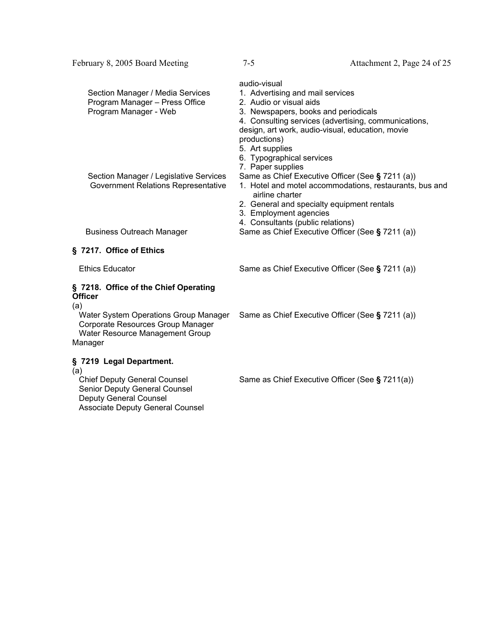| Section Manager / Media Services<br>Program Manager - Press Office<br>Program Manager - Web | audio-visual<br>1. Advertising and mail services<br>2. Audio or visual aids<br>3. Newspapers, books and periodicals<br>4. Consulting services (advertising, communications,<br>design, art work, audio-visual, education, movie<br>productions) |
|---------------------------------------------------------------------------------------------|-------------------------------------------------------------------------------------------------------------------------------------------------------------------------------------------------------------------------------------------------|
|                                                                                             | 5. Art supplies<br>6. Typographical services<br>7. Paper supplies                                                                                                                                                                               |
| Section Manager / Legislative Services<br>Government Relations Representative               | Same as Chief Executive Officer (See § 7211 (a))<br>1. Hotel and motel accommodations, restaurants, bus and<br>airline charter                                                                                                                  |
|                                                                                             | 2. General and specialty equipment rentals<br>3. Employment agencies<br>4. Consultants (public relations)                                                                                                                                       |
| <b>Business Outreach Manager</b>                                                            | Same as Chief Executive Officer (See § 7211 (a))                                                                                                                                                                                                |
|                                                                                             |                                                                                                                                                                                                                                                 |

February 8, 2005 Board Meeting 7-5 Attachment 2, Page 24 of 25

### **§ 7217. Office of Ethics**

Ethics Educator Same as Chief Executive Officer (See § 7211 (a))

### **§ 7218. Office of the Chief Operating Officer**

(a)

 Water System Operations Group Manager Corporate Resources Group Manager Water Resource Management Group Manager

# **§ 7219 Legal Department.**

(a)<br>Chief Deputy General Counsel Senior Deputy General Counsel Deputy General Counsel Associate Deputy General Counsel Same as Chief Executive Officer (See **§** 7211 (a))

Same as Chief Executive Officer (See § 7211(a))